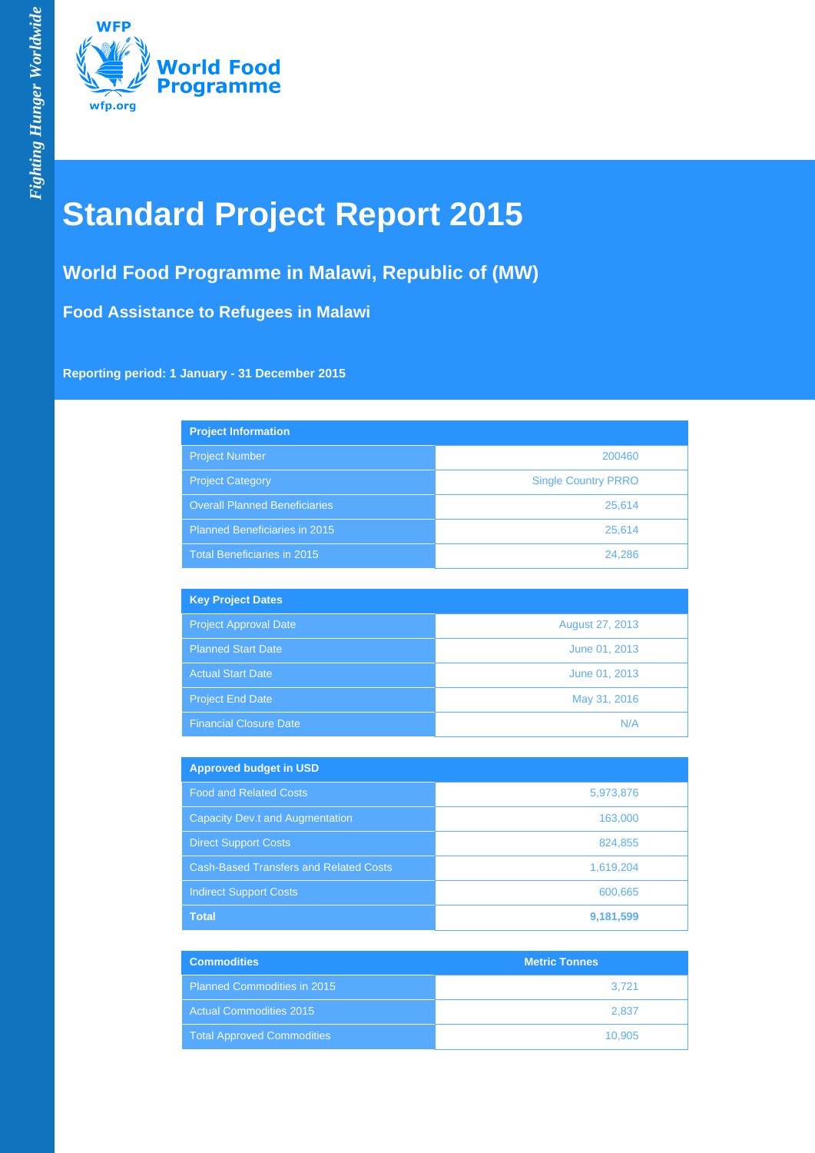

# **Standard Project Report 2015**

## **World Food Programme in Malawi, Republic of (MW)**

**Food Assistance to Refugees in Malawi**

**Reporting period: 1 January - 31 December 2015**

| <b>Project Information</b>           |                            |
|--------------------------------------|----------------------------|
| <b>Project Number</b>                | 200460                     |
| <b>Project Category</b>              | <b>Single Country PRRO</b> |
| <b>Overall Planned Beneficiaries</b> | 25,614                     |
| Planned Beneficiaries in 2015        | 25,614                     |
| Total Beneficiaries in 2015          | 24.286                     |

| <b>Key Project Dates</b>      |                 |
|-------------------------------|-----------------|
| <b>Project Approval Date</b>  | August 27, 2013 |
| <b>Planned Start Date</b>     | June 01, 2013   |
| <b>Actual Start Date</b>      | June 01, 2013   |
| <b>Project End Date</b>       | May 31, 2016    |
| <b>Financial Closure Date</b> | N/A             |

| <b>Approved budget in USD</b>                 |           |
|-----------------------------------------------|-----------|
| <b>Food and Related Costs</b>                 | 5,973,876 |
| <b>Capacity Dev.t and Augmentation</b>        | 163,000   |
| <b>Direct Support Costs</b>                   | 824,855   |
| <b>Cash-Based Transfers and Related Costs</b> | 1,619,204 |
| <b>Indirect Support Costs</b>                 | 600,665   |
| <b>Total</b>                                  | 9,181,599 |

| <b>Commodities</b>                 | <b>Metric Tonnes</b> |
|------------------------------------|----------------------|
| <b>Planned Commodities in 2015</b> | 3.721                |
| <b>Actual Commodities 2015</b>     | 2.837                |
| <b>Total Approved Commodities</b>  | 10.905               |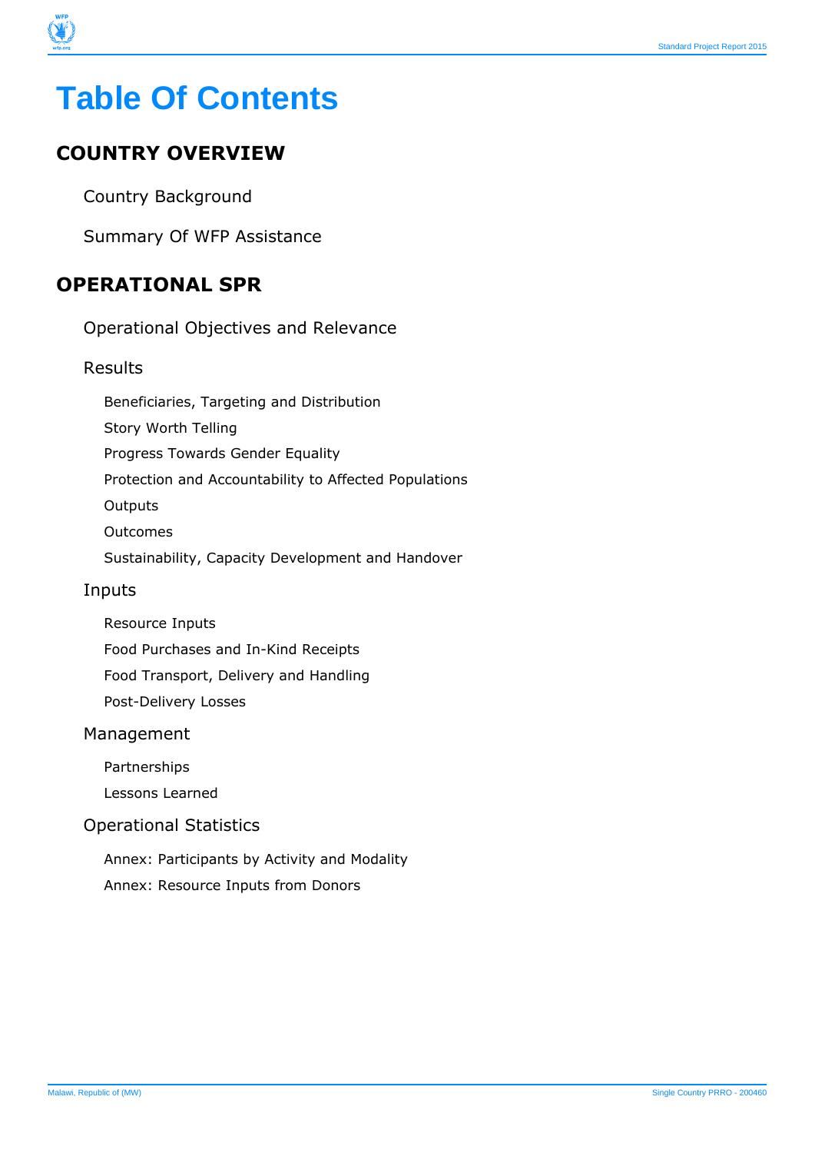

## **COUNTRY OVERVIEW**

Country Background

Summary Of WFP Assistance

## **OPERATIONAL SPR**

Operational Objectives and Relevance

#### Results

Beneficiaries, Targeting and Distribution

Story Worth Telling

Progress Towards Gender Equality

Protection and Accountability to Affected Populations

**Outputs** 

Outcomes

Sustainability, Capacity Development and Handover

#### Inputs

Resource Inputs

Food Purchases and In-Kind Receipts

Food Transport, Delivery and Handling

Post-Delivery Losses

#### Management

Partnerships

Lessons Learned

#### Operational Statistics

Annex: Participants by Activity and Modality Annex: Resource Inputs from Donors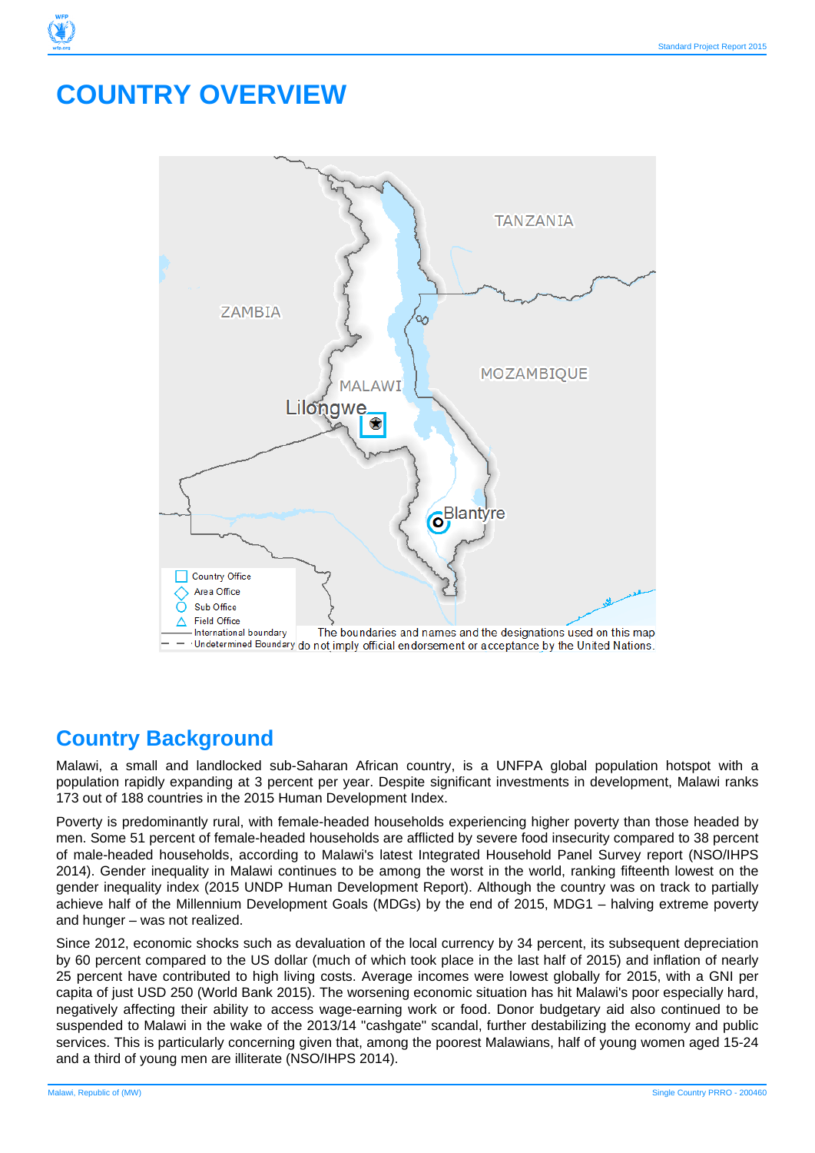## **COUNTRY OVERVIEW**



## **Country Background**

Malawi, a small and landlocked sub-Saharan African country, is a UNFPA global population hotspot with a population rapidly expanding at 3 percent per year. Despite significant investments in development, Malawi ranks 173 out of 188 countries in the 2015 Human Development Index.

Poverty is predominantly rural, with female-headed households experiencing higher poverty than those headed by men. Some 51 percent of female-headed households are afflicted by severe food insecurity compared to 38 percent of male-headed households, according to Malawi's latest Integrated Household Panel Survey report (NSO/IHPS 2014). Gender inequality in Malawi continues to be among the worst in the world, ranking fifteenth lowest on the gender inequality index (2015 UNDP Human Development Report). Although the country was on track to partially achieve half of the Millennium Development Goals (MDGs) by the end of 2015, MDG1 – halving extreme poverty and hunger – was not realized.

Since 2012, economic shocks such as devaluation of the local currency by 34 percent, its subsequent depreciation by 60 percent compared to the US dollar (much of which took place in the last half of 2015) and inflation of nearly 25 percent have contributed to high living costs. Average incomes were lowest globally for 2015, with a GNI per capita of just USD 250 (World Bank 2015). The worsening economic situation has hit Malawi's poor especially hard, negatively affecting their ability to access wage-earning work or food. Donor budgetary aid also continued to be suspended to Malawi in the wake of the 2013/14 "cashgate" scandal, further destabilizing the economy and public services. This is particularly concerning given that, among the poorest Malawians, half of young women aged 15-24 and a third of young men are illiterate (NSO/IHPS 2014).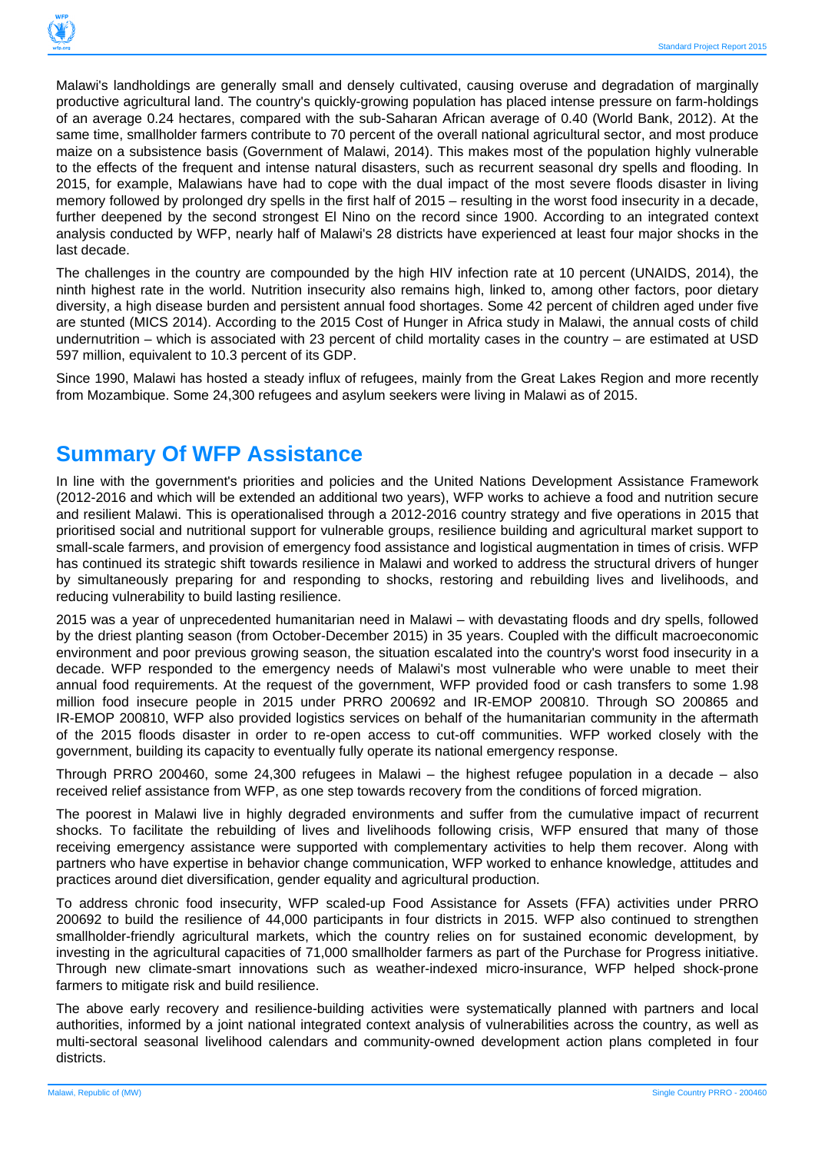

Malawi's landholdings are generally small and densely cultivated, causing overuse and degradation of marginally productive agricultural land. The country's quickly-growing population has placed intense pressure on farm-holdings of an average 0.24 hectares, compared with the sub-Saharan African average of 0.40 (World Bank, 2012). At the same time, smallholder farmers contribute to 70 percent of the overall national agricultural sector, and most produce maize on a subsistence basis (Government of Malawi, 2014). This makes most of the population highly vulnerable to the effects of the frequent and intense natural disasters, such as recurrent seasonal dry spells and flooding. In 2015, for example, Malawians have had to cope with the dual impact of the most severe floods disaster in living memory followed by prolonged dry spells in the first half of 2015 – resulting in the worst food insecurity in a decade, further deepened by the second strongest El Nino on the record since 1900. According to an integrated context analysis conducted by WFP, nearly half of Malawi's 28 districts have experienced at least four major shocks in the last decade.

The challenges in the country are compounded by the high HIV infection rate at 10 percent (UNAIDS, 2014), the ninth highest rate in the world. Nutrition insecurity also remains high, linked to, among other factors, poor dietary diversity, a high disease burden and persistent annual food shortages. Some 42 percent of children aged under five are stunted (MICS 2014). According to the 2015 Cost of Hunger in Africa study in Malawi, the annual costs of child undernutrition – which is associated with 23 percent of child mortality cases in the country – are estimated at USD 597 million, equivalent to 10.3 percent of its GDP.

Since 1990, Malawi has hosted a steady influx of refugees, mainly from the Great Lakes Region and more recently from Mozambique. Some 24,300 refugees and asylum seekers were living in Malawi as of 2015.

## **Summary Of WFP Assistance**

In line with the government's priorities and policies and the United Nations Development Assistance Framework (2012-2016 and which will be extended an additional two years), WFP works to achieve a food and nutrition secure and resilient Malawi. This is operationalised through a 2012-2016 country strategy and five operations in 2015 that prioritised social and nutritional support for vulnerable groups, resilience building and agricultural market support to small-scale farmers, and provision of emergency food assistance and logistical augmentation in times of crisis. WFP has continued its strategic shift towards resilience in Malawi and worked to address the structural drivers of hunger by simultaneously preparing for and responding to shocks, restoring and rebuilding lives and livelihoods, and reducing vulnerability to build lasting resilience.

2015 was a year of unprecedented humanitarian need in Malawi – with devastating floods and dry spells, followed by the driest planting season (from October-December 2015) in 35 years. Coupled with the difficult macroeconomic environment and poor previous growing season, the situation escalated into the country's worst food insecurity in a decade. WFP responded to the emergency needs of Malawi's most vulnerable who were unable to meet their annual food requirements. At the request of the government, WFP provided food or cash transfers to some 1.98 million food insecure people in 2015 under PRRO 200692 and IR-EMOP 200810. Through SO 200865 and IR-EMOP 200810, WFP also provided logistics services on behalf of the humanitarian community in the aftermath of the 2015 floods disaster in order to re-open access to cut-off communities. WFP worked closely with the government, building its capacity to eventually fully operate its national emergency response.

Through PRRO 200460, some 24,300 refugees in Malawi – the highest refugee population in a decade – also received relief assistance from WFP, as one step towards recovery from the conditions of forced migration.

The poorest in Malawi live in highly degraded environments and suffer from the cumulative impact of recurrent shocks. To facilitate the rebuilding of lives and livelihoods following crisis, WFP ensured that many of those receiving emergency assistance were supported with complementary activities to help them recover. Along with partners who have expertise in behavior change communication, WFP worked to enhance knowledge, attitudes and practices around diet diversification, gender equality and agricultural production.

To address chronic food insecurity, WFP scaled-up Food Assistance for Assets (FFA) activities under PRRO 200692 to build the resilience of 44,000 participants in four districts in 2015. WFP also continued to strengthen smallholder-friendly agricultural markets, which the country relies on for sustained economic development, by investing in the agricultural capacities of 71,000 smallholder farmers as part of the Purchase for Progress initiative. Through new climate-smart innovations such as weather-indexed micro-insurance, WFP helped shock-prone farmers to mitigate risk and build resilience.

The above early recovery and resilience-building activities were systematically planned with partners and local authorities, informed by a joint national integrated context analysis of vulnerabilities across the country, as well as multi-sectoral seasonal livelihood calendars and community-owned development action plans completed in four districts.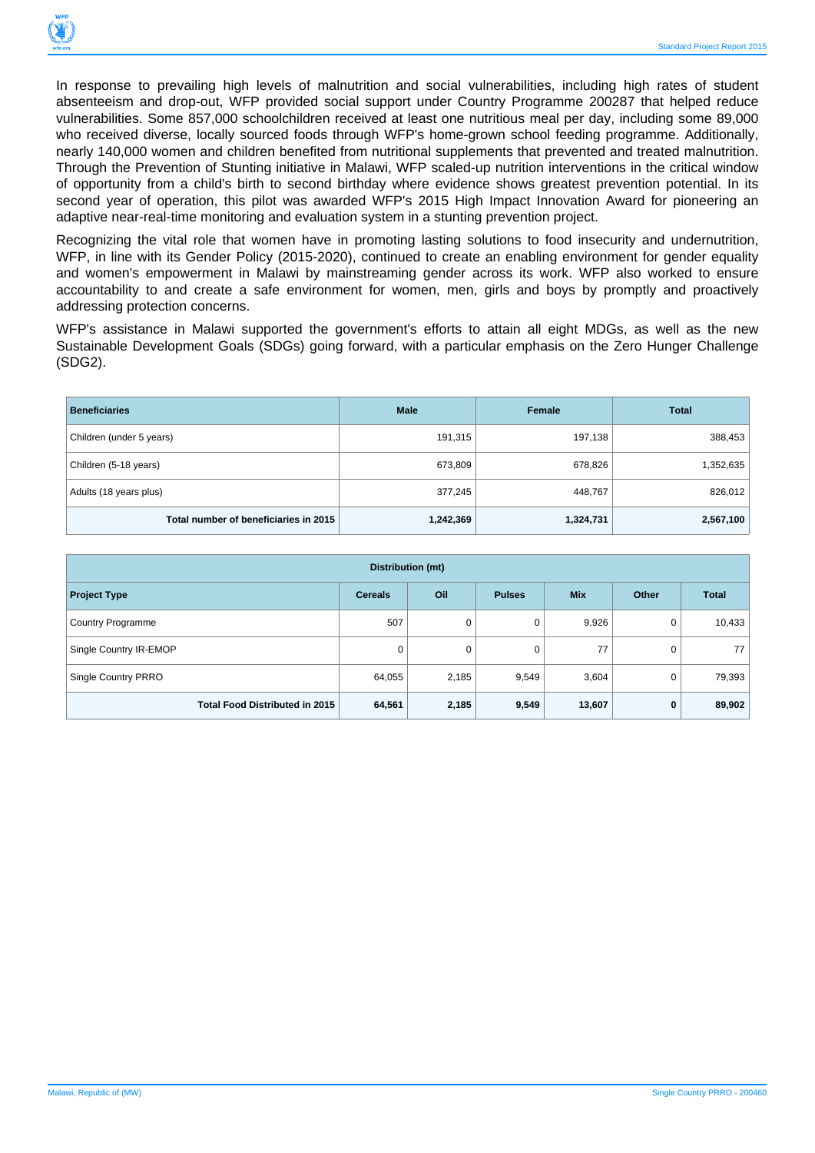

In response to prevailing high levels of malnutrition and social vulnerabilities, including high rates of student absenteeism and drop-out, WFP provided social support under Country Programme 200287 that helped reduce vulnerabilities. Some 857,000 schoolchildren received at least one nutritious meal per day, including some 89,000 who received diverse, locally sourced foods through WFP's home-grown school feeding programme. Additionally, nearly 140,000 women and children benefited from nutritional supplements that prevented and treated malnutrition. Through the Prevention of Stunting initiative in Malawi, WFP scaled-up nutrition interventions in the critical window of opportunity from a child's birth to second birthday where evidence shows greatest prevention potential. In its second year of operation, this pilot was awarded WFP's 2015 High Impact Innovation Award for pioneering an adaptive near-real-time monitoring and evaluation system in a stunting prevention project.

Recognizing the vital role that women have in promoting lasting solutions to food insecurity and undernutrition, WFP, in line with its Gender Policy (2015-2020), continued to create an enabling environment for gender equality and women's empowerment in Malawi by mainstreaming gender across its work. WFP also worked to ensure accountability to and create a safe environment for women, men, girls and boys by promptly and proactively addressing protection concerns.

WFP's assistance in Malawi supported the government's efforts to attain all eight MDGs, as well as the new Sustainable Development Goals (SDGs) going forward, with a particular emphasis on the Zero Hunger Challenge (SDG2).

| <b>Beneficiaries</b>                  | <b>Male</b> | Female    | <b>Total</b> |
|---------------------------------------|-------------|-----------|--------------|
| Children (under 5 years)              | 191,315     | 197,138   | 388,453      |
| Children (5-18 years)                 | 673,809     | 678,826   | 1,352,635    |
| Adults (18 years plus)                | 377,245     | 448,767   | 826,012      |
| Total number of beneficiaries in 2015 | 1,242,369   | 1,324,731 | 2,567,100    |

| Distribution (mt)                     |                |       |               |            |       |              |  |  |  |  |
|---------------------------------------|----------------|-------|---------------|------------|-------|--------------|--|--|--|--|
| <b>Project Type</b>                   | <b>Cereals</b> | Oil   | <b>Pulses</b> | <b>Mix</b> | Other | <b>Total</b> |  |  |  |  |
| <b>Country Programme</b>              | 507            | 0     | 0             | 9,926      | 0     | 10,433       |  |  |  |  |
| Single Country IR-EMOP                | 0              | 0     | 0             | 77         | 0     | 77           |  |  |  |  |
| Single Country PRRO                   | 64,055         | 2,185 | 9,549         | 3,604      | 0     | 79,393       |  |  |  |  |
| <b>Total Food Distributed in 2015</b> | 64,561         | 2,185 | 9,549         | 13,607     | 0     | 89,902       |  |  |  |  |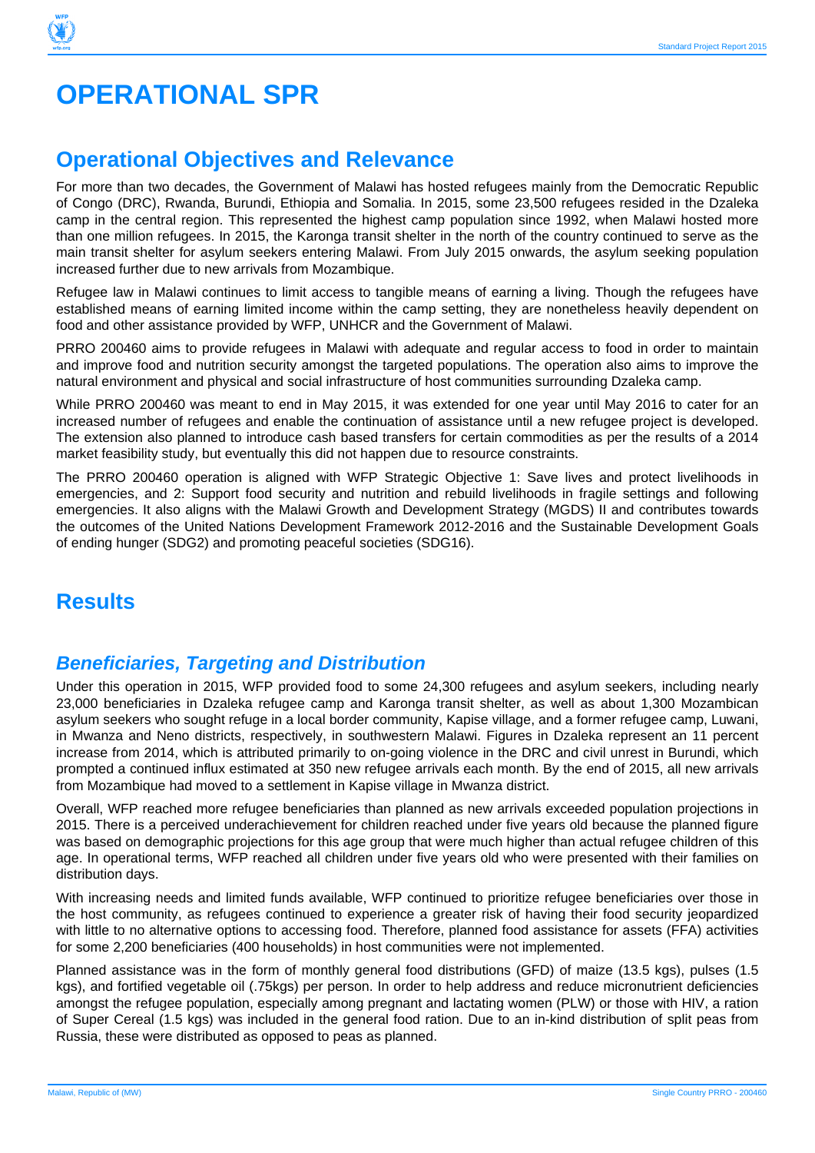# **OPERATIONAL SPR**

## **Operational Objectives and Relevance**

For more than two decades, the Government of Malawi has hosted refugees mainly from the Democratic Republic of Congo (DRC), Rwanda, Burundi, Ethiopia and Somalia. In 2015, some 23,500 refugees resided in the Dzaleka camp in the central region. This represented the highest camp population since 1992, when Malawi hosted more than one million refugees. In 2015, the Karonga transit shelter in the north of the country continued to serve as the main transit shelter for asylum seekers entering Malawi. From July 2015 onwards, the asylum seeking population increased further due to new arrivals from Mozambique.

Refugee law in Malawi continues to limit access to tangible means of earning a living. Though the refugees have established means of earning limited income within the camp setting, they are nonetheless heavily dependent on food and other assistance provided by WFP, UNHCR and the Government of Malawi.

PRRO 200460 aims to provide refugees in Malawi with adequate and regular access to food in order to maintain and improve food and nutrition security amongst the targeted populations. The operation also aims to improve the natural environment and physical and social infrastructure of host communities surrounding Dzaleka camp.

While PRRO 200460 was meant to end in May 2015, it was extended for one year until May 2016 to cater for an increased number of refugees and enable the continuation of assistance until a new refugee project is developed. The extension also planned to introduce cash based transfers for certain commodities as per the results of a 2014 market feasibility study, but eventually this did not happen due to resource constraints.

The PRRO 200460 operation is aligned with WFP Strategic Objective 1: Save lives and protect livelihoods in emergencies, and 2: Support food security and nutrition and rebuild livelihoods in fragile settings and following emergencies. It also aligns with the Malawi Growth and Development Strategy (MGDS) II and contributes towards the outcomes of the United Nations Development Framework 2012-2016 and the Sustainable Development Goals of ending hunger (SDG2) and promoting peaceful societies (SDG16).

## **Results**

## **Beneficiaries, Targeting and Distribution**

Under this operation in 2015, WFP provided food to some 24,300 refugees and asylum seekers, including nearly 23,000 beneficiaries in Dzaleka refugee camp and Karonga transit shelter, as well as about 1,300 Mozambican asylum seekers who sought refuge in a local border community, Kapise village, and a former refugee camp, Luwani, in Mwanza and Neno districts, respectively, in southwestern Malawi. Figures in Dzaleka represent an 11 percent increase from 2014, which is attributed primarily to on-going violence in the DRC and civil unrest in Burundi, which prompted a continued influx estimated at 350 new refugee arrivals each month. By the end of 2015, all new arrivals from Mozambique had moved to a settlement in Kapise village in Mwanza district.

Overall, WFP reached more refugee beneficiaries than planned as new arrivals exceeded population projections in 2015. There is a perceived underachievement for children reached under five years old because the planned figure was based on demographic projections for this age group that were much higher than actual refugee children of this age. In operational terms, WFP reached all children under five years old who were presented with their families on distribution days.

With increasing needs and limited funds available, WFP continued to prioritize refugee beneficiaries over those in the host community, as refugees continued to experience a greater risk of having their food security jeopardized with little to no alternative options to accessing food. Therefore, planned food assistance for assets (FFA) activities for some 2,200 beneficiaries (400 households) in host communities were not implemented.

Planned assistance was in the form of monthly general food distributions (GFD) of maize (13.5 kgs), pulses (1.5 kgs), and fortified vegetable oil (.75kgs) per person. In order to help address and reduce micronutrient deficiencies amongst the refugee population, especially among pregnant and lactating women (PLW) or those with HIV, a ration of Super Cereal (1.5 kgs) was included in the general food ration. Due to an in-kind distribution of split peas from Russia, these were distributed as opposed to peas as planned.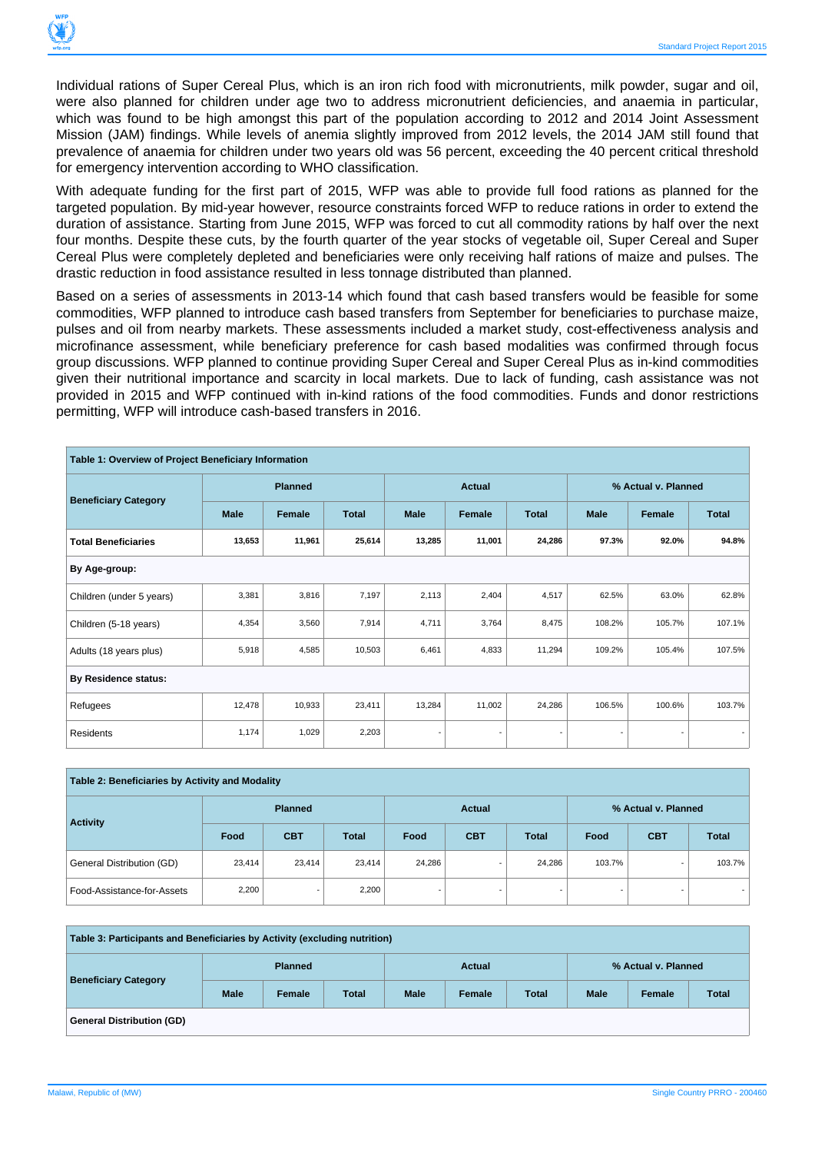

Individual rations of Super Cereal Plus, which is an iron rich food with micronutrients, milk powder, sugar and oil, were also planned for children under age two to address micronutrient deficiencies, and anaemia in particular, which was found to be high amongst this part of the population according to 2012 and 2014 Joint Assessment Mission (JAM) findings. While levels of anemia slightly improved from 2012 levels, the 2014 JAM still found that prevalence of anaemia for children under two years old was 56 percent, exceeding the 40 percent critical threshold for emergency intervention according to WHO classification.

With adequate funding for the first part of 2015, WFP was able to provide full food rations as planned for the targeted population. By mid-year however, resource constraints forced WFP to reduce rations in order to extend the duration of assistance. Starting from June 2015, WFP was forced to cut all commodity rations by half over the next four months. Despite these cuts, by the fourth quarter of the year stocks of vegetable oil, Super Cereal and Super Cereal Plus were completely depleted and beneficiaries were only receiving half rations of maize and pulses. The drastic reduction in food assistance resulted in less tonnage distributed than planned.

Based on a series of assessments in 2013-14 which found that cash based transfers would be feasible for some commodities, WFP planned to introduce cash based transfers from September for beneficiaries to purchase maize, pulses and oil from nearby markets. These assessments included a market study, cost-effectiveness analysis and microfinance assessment, while beneficiary preference for cash based modalities was confirmed through focus group discussions. WFP planned to continue providing Super Cereal and Super Cereal Plus as in-kind commodities given their nutritional importance and scarcity in local markets. Due to lack of funding, cash assistance was not provided in 2015 and WFP continued with in-kind rations of the food commodities. Funds and donor restrictions permitting, WFP will introduce cash-based transfers in 2016.

| Table 1: Overview of Project Beneficiary Information |             |                |              |                          |               |                          |                          |                     |              |
|------------------------------------------------------|-------------|----------------|--------------|--------------------------|---------------|--------------------------|--------------------------|---------------------|--------------|
|                                                      |             | <b>Planned</b> |              |                          | <b>Actual</b> |                          |                          | % Actual v. Planned |              |
| <b>Beneficiary Category</b>                          | <b>Male</b> | Female         | <b>Total</b> | <b>Male</b>              | Female        | <b>Total</b>             | <b>Male</b>              | Female              | <b>Total</b> |
| <b>Total Beneficiaries</b>                           | 13,653      | 11,961         | 25,614       | 13,285                   | 11,001        | 24,286                   | 97.3%                    | 92.0%               | 94.8%        |
| By Age-group:                                        |             |                |              |                          |               |                          |                          |                     |              |
| Children (under 5 years)                             | 3,381       | 3,816          | 7,197        | 2,113                    | 2,404         | 4,517                    | 62.5%                    | 63.0%               | 62.8%        |
| Children (5-18 years)                                | 4,354       | 3,560          | 7,914        | 4,711                    | 3,764         | 8,475                    | 108.2%                   | 105.7%              | 107.1%       |
| Adults (18 years plus)                               | 5,918       | 4,585          | 10,503       | 6,461                    | 4,833         | 11,294                   | 109.2%                   | 105.4%              | 107.5%       |
| <b>By Residence status:</b>                          |             |                |              |                          |               |                          |                          |                     |              |
| Refugees                                             | 12,478      | 10,933         | 23,411       | 13,284                   | 11,002        | 24,286                   | 106.5%                   | 100.6%              | 103.7%       |
| <b>Residents</b>                                     | 1,174       | 1,029          | 2,203        | $\overline{\phantom{a}}$ |               | $\overline{\phantom{a}}$ | $\overline{\phantom{a}}$ |                     |              |

| Table 2: Beneficiaries by Activity and Modality |                |            |              |               |                          |                          |                          |            |              |
|-------------------------------------------------|----------------|------------|--------------|---------------|--------------------------|--------------------------|--------------------------|------------|--------------|
|                                                 | <b>Planned</b> |            |              | <b>Actual</b> |                          |                          | % Actual v. Planned      |            |              |
| <b>Activity</b>                                 | Food           | <b>CBT</b> | <b>Total</b> | Food          | <b>CBT</b>               | <b>Total</b>             | Food                     | <b>CBT</b> | <b>Total</b> |
| General Distribution (GD)                       | 23.414         | 23.414     | 23,414       | 24.286        |                          | 24,286                   | 103.7%                   |            | 103.7%       |
| Food-Assistance-for-Assets                      | 2,200          | -          | 2,200        |               | $\overline{\phantom{a}}$ | $\overline{\phantom{0}}$ | $\overline{\phantom{a}}$ |            |              |

| Table 3: Participants and Beneficiaries by Activity (excluding nutrition) |                |        |              |             |        |              |                     |        |              |
|---------------------------------------------------------------------------|----------------|--------|--------------|-------------|--------|--------------|---------------------|--------|--------------|
| <b>Beneficiary Category</b>                                               | <b>Planned</b> |        |              | Actual      |        |              | % Actual v. Planned |        |              |
|                                                                           | <b>Male</b>    | Female | <b>Total</b> | <b>Male</b> | Female | <b>Total</b> | <b>Male</b>         | Female | <b>Total</b> |
| <b>General Distribution (GD)</b>                                          |                |        |              |             |        |              |                     |        |              |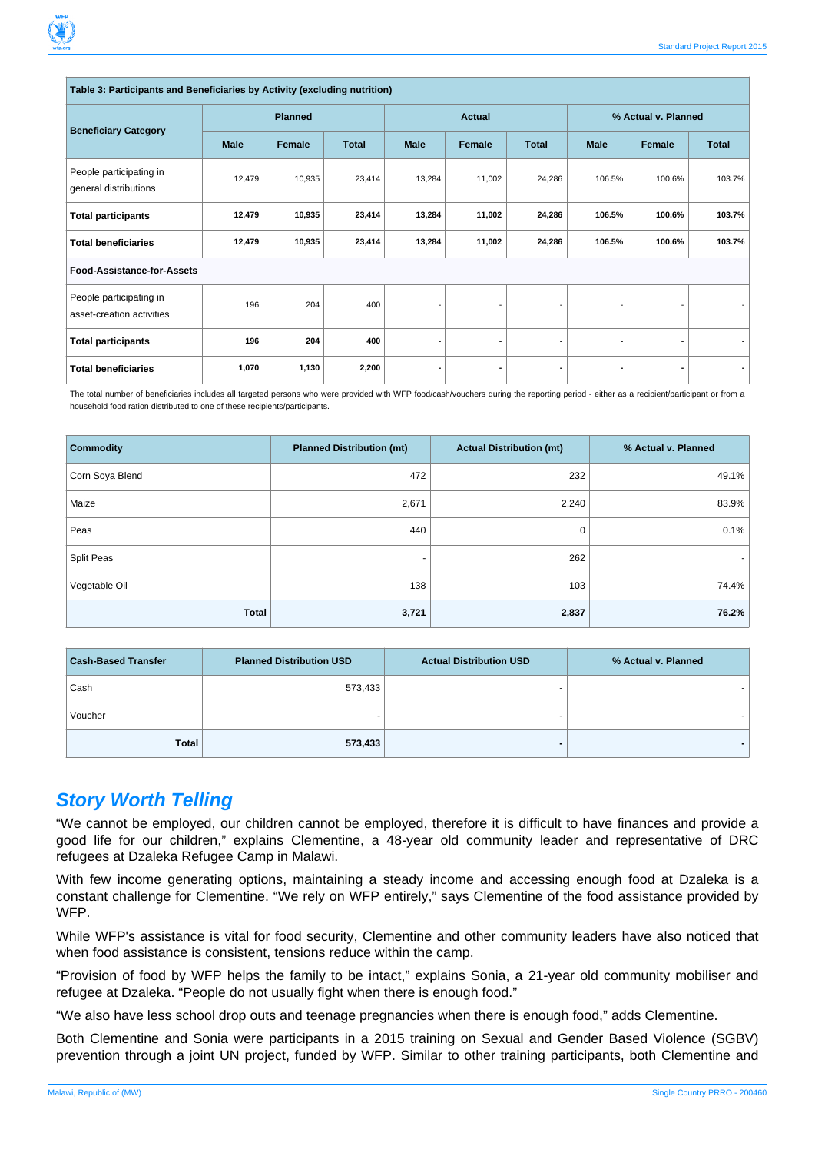#### **Table 3: Participants and Beneficiaries by Activity (excluding nutrition)**

|                                                      | <b>Planned</b> |                        |             | <b>Actual</b> |              |                | % Actual v. Planned |        |        |
|------------------------------------------------------|----------------|------------------------|-------------|---------------|--------------|----------------|---------------------|--------|--------|
| <b>Beneficiary Category</b>                          | <b>Male</b>    | Female<br><b>Total</b> | <b>Male</b> | Female        | <b>Total</b> | <b>Male</b>    | Female              | Total  |        |
| People participating in<br>general distributions     | 12,479         | 10,935                 | 23,414      | 13,284        | 11,002       | 24,286         | 106.5%              | 100.6% | 103.7% |
| <b>Total participants</b>                            | 12,479         | 10,935                 | 23,414      | 13,284        | 11,002       | 24,286         | 106.5%              | 100.6% | 103.7% |
| <b>Total beneficiaries</b>                           | 12,479         | 10,935                 | 23,414      | 13,284        | 11,002       | 24,286         | 106.5%              | 100.6% | 103.7% |
| Food-Assistance-for-Assets                           |                |                        |             |               |              |                |                     |        |        |
| People participating in<br>asset-creation activities | 196            | 204                    | 400         |               |              |                |                     |        |        |
| <b>Total participants</b>                            | 196            | 204                    | 400         |               | ٠            | $\blacksquare$ |                     | ۰      |        |
| <b>Total beneficiaries</b>                           | 1,070          | 1,130                  | 2,200       |               | ٠            | $\blacksquare$ |                     | ۰      |        |

The total number of beneficiaries includes all targeted persons who were provided with WFP food/cash/vouchers during the reporting period - either as a recipient/participant or from a household food ration distributed to one of these recipients/participants.

| <b>Commodity</b> | <b>Planned Distribution (mt)</b> | <b>Actual Distribution (mt)</b> | % Actual v. Planned |
|------------------|----------------------------------|---------------------------------|---------------------|
| Corn Soya Blend  | 472                              | 232                             | 49.1%               |
| Maize            | 2,671                            | 2,240                           | 83.9%               |
| Peas             | 440                              | 0                               | 0.1%                |
| Split Peas       | -                                | 262                             |                     |
| Vegetable Oil    | 138                              | 103                             | 74.4%               |
| <b>Total</b>     | 3,721                            | 2,837                           | 76.2%               |

| <b>Cash-Based Transfer</b> | <b>Planned Distribution USD</b> | <b>Actual Distribution USD</b> | % Actual v. Planned |
|----------------------------|---------------------------------|--------------------------------|---------------------|
| Cash                       | 573,433                         |                                |                     |
| Voucher                    |                                 |                                |                     |
| <b>Total</b>               | 573,433                         |                                |                     |

#### **Story Worth Telling**

"We cannot be employed, our children cannot be employed, therefore it is difficult to have finances and provide a good life for our children," explains Clementine, a 48-year old community leader and representative of DRC refugees at Dzaleka Refugee Camp in Malawi.

With few income generating options, maintaining a steady income and accessing enough food at Dzaleka is a constant challenge for Clementine. "We rely on WFP entirely," says Clementine of the food assistance provided by WFP.

While WFP's assistance is vital for food security, Clementine and other community leaders have also noticed that when food assistance is consistent, tensions reduce within the camp.

"Provision of food by WFP helps the family to be intact," explains Sonia, a 21-year old community mobiliser and refugee at Dzaleka. "People do not usually fight when there is enough food."

"We also have less school drop outs and teenage pregnancies when there is enough food," adds Clementine.

Both Clementine and Sonia were participants in a 2015 training on Sexual and Gender Based Violence (SGBV) prevention through a joint UN project, funded by WFP. Similar to other training participants, both Clementine and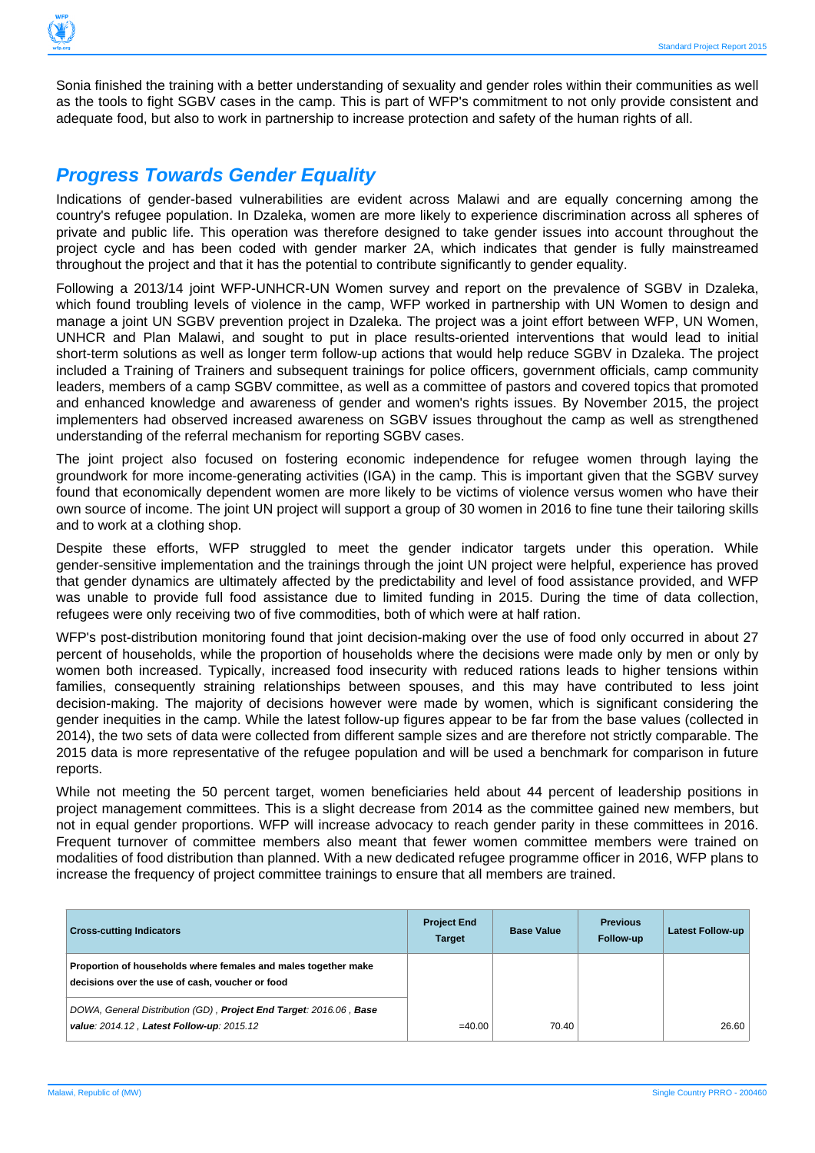

Sonia finished the training with a better understanding of sexuality and gender roles within their communities as well as the tools to fight SGBV cases in the camp. This is part of WFP's commitment to not only provide consistent and adequate food, but also to work in partnership to increase protection and safety of the human rights of all.

#### **Progress Towards Gender Equality**

Indications of gender-based vulnerabilities are evident across Malawi and are equally concerning among the country's refugee population. In Dzaleka, women are more likely to experience discrimination across all spheres of private and public life. This operation was therefore designed to take gender issues into account throughout the project cycle and has been coded with gender marker 2A, which indicates that gender is fully mainstreamed throughout the project and that it has the potential to contribute significantly to gender equality.

Following a 2013/14 joint WFP-UNHCR-UN Women survey and report on the prevalence of SGBV in Dzaleka, which found troubling levels of violence in the camp, WFP worked in partnership with UN Women to design and manage a joint UN SGBV prevention project in Dzaleka. The project was a joint effort between WFP, UN Women, UNHCR and Plan Malawi, and sought to put in place results-oriented interventions that would lead to initial short-term solutions as well as longer term follow-up actions that would help reduce SGBV in Dzaleka. The project included a Training of Trainers and subsequent trainings for police officers, government officials, camp community leaders, members of a camp SGBV committee, as well as a committee of pastors and covered topics that promoted and enhanced knowledge and awareness of gender and women's rights issues. By November 2015, the project implementers had observed increased awareness on SGBV issues throughout the camp as well as strengthened understanding of the referral mechanism for reporting SGBV cases.

The joint project also focused on fostering economic independence for refugee women through laying the groundwork for more income-generating activities (IGA) in the camp. This is important given that the SGBV survey found that economically dependent women are more likely to be victims of violence versus women who have their own source of income. The joint UN project will support a group of 30 women in 2016 to fine tune their tailoring skills and to work at a clothing shop.

Despite these efforts, WFP struggled to meet the gender indicator targets under this operation. While gender-sensitive implementation and the trainings through the joint UN project were helpful, experience has proved that gender dynamics are ultimately affected by the predictability and level of food assistance provided, and WFP was unable to provide full food assistance due to limited funding in 2015. During the time of data collection, refugees were only receiving two of five commodities, both of which were at half ration.

WFP's post-distribution monitoring found that joint decision-making over the use of food only occurred in about 27 percent of households, while the proportion of households where the decisions were made only by men or only by women both increased. Typically, increased food insecurity with reduced rations leads to higher tensions within families, consequently straining relationships between spouses, and this may have contributed to less joint decision-making. The majority of decisions however were made by women, which is significant considering the gender inequities in the camp. While the latest follow-up figures appear to be far from the base values (collected in 2014), the two sets of data were collected from different sample sizes and are therefore not strictly comparable. The 2015 data is more representative of the refugee population and will be used a benchmark for comparison in future reports.

While not meeting the 50 percent target, women beneficiaries held about 44 percent of leadership positions in project management committees. This is a slight decrease from 2014 as the committee gained new members, but not in equal gender proportions. WFP will increase advocacy to reach gender parity in these committees in 2016. Frequent turnover of committee members also meant that fewer women committee members were trained on modalities of food distribution than planned. With a new dedicated refugee programme officer in 2016, WFP plans to increase the frequency of project committee trainings to ensure that all members are trained.

| <b>Cross-cutting Indicators</b>                                                                                   | <b>Project End</b><br><b>Target</b> | <b>Base Value</b> | <b>Previous</b><br>Follow-up | <b>Latest Follow-up</b> |
|-------------------------------------------------------------------------------------------------------------------|-------------------------------------|-------------------|------------------------------|-------------------------|
| Proportion of households where females and males together make<br>decisions over the use of cash, voucher or food |                                     |                   |                              |                         |
| DOWA, General Distribution (GD), Project End Target: 2016.06, Base<br>value: 2014.12, Latest Follow-up: 2015.12   | $=40.00$                            | 70.40             |                              | 26.60                   |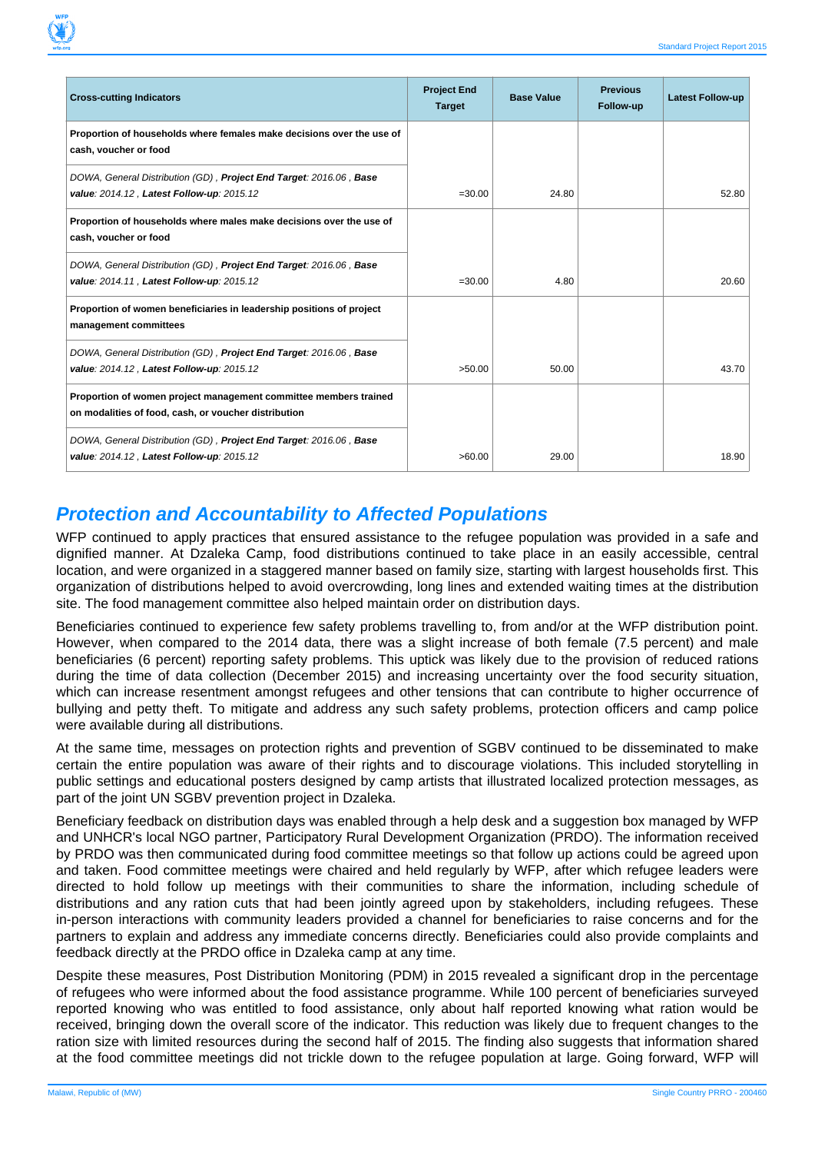| <b>Cross-cutting Indicators</b>                                                                                          | <b>Project End</b><br><b>Target</b> | <b>Base Value</b> | <b>Previous</b><br>Follow-up | <b>Latest Follow-up</b> |
|--------------------------------------------------------------------------------------------------------------------------|-------------------------------------|-------------------|------------------------------|-------------------------|
| Proportion of households where females make decisions over the use of<br>cash, voucher or food                           |                                     |                   |                              |                         |
| DOWA, General Distribution (GD), Project End Target: 2016.06, Base<br>value: 2014.12, Latest Follow-up: 2015.12          | $= 30.00$                           | 24.80             |                              | 52.80                   |
| Proportion of households where males make decisions over the use of<br>cash, voucher or food                             |                                     |                   |                              |                         |
| DOWA, General Distribution (GD), Project End Target: 2016.06, Base<br>value: 2014.11, Latest Follow-up: 2015.12          | $= 30.00$                           | 4.80              |                              | 20.60                   |
| Proportion of women beneficiaries in leadership positions of project<br>management committees                            |                                     |                   |                              |                         |
| DOWA, General Distribution (GD), Project End Target: 2016.06, Base<br>value: 2014.12, Latest Follow-up: 2015.12          | >50.00                              | 50.00             |                              | 43.70                   |
| Proportion of women project management committee members trained<br>on modalities of food, cash, or voucher distribution |                                     |                   |                              |                         |
| DOWA, General Distribution (GD), Project End Target: 2016.06, Base<br>value: 2014.12, Latest Follow-up: 2015.12          | >60.00                              | 29.00             |                              | 18.90                   |

#### **Protection and Accountability to Affected Populations**

WFP continued to apply practices that ensured assistance to the refugee population was provided in a safe and dignified manner. At Dzaleka Camp, food distributions continued to take place in an easily accessible, central location, and were organized in a staggered manner based on family size, starting with largest households first. This organization of distributions helped to avoid overcrowding, long lines and extended waiting times at the distribution site. The food management committee also helped maintain order on distribution days.

Beneficiaries continued to experience few safety problems travelling to, from and/or at the WFP distribution point. However, when compared to the 2014 data, there was a slight increase of both female (7.5 percent) and male beneficiaries (6 percent) reporting safety problems. This uptick was likely due to the provision of reduced rations during the time of data collection (December 2015) and increasing uncertainty over the food security situation, which can increase resentment amongst refugees and other tensions that can contribute to higher occurrence of bullying and petty theft. To mitigate and address any such safety problems, protection officers and camp police were available during all distributions.

At the same time, messages on protection rights and prevention of SGBV continued to be disseminated to make certain the entire population was aware of their rights and to discourage violations. This included storytelling in public settings and educational posters designed by camp artists that illustrated localized protection messages, as part of the joint UN SGBV prevention project in Dzaleka.

Beneficiary feedback on distribution days was enabled through a help desk and a suggestion box managed by WFP and UNHCR's local NGO partner, Participatory Rural Development Organization (PRDO). The information received by PRDO was then communicated during food committee meetings so that follow up actions could be agreed upon and taken. Food committee meetings were chaired and held regularly by WFP, after which refugee leaders were directed to hold follow up meetings with their communities to share the information, including schedule of distributions and any ration cuts that had been jointly agreed upon by stakeholders, including refugees. These in-person interactions with community leaders provided a channel for beneficiaries to raise concerns and for the partners to explain and address any immediate concerns directly. Beneficiaries could also provide complaints and feedback directly at the PRDO office in Dzaleka camp at any time.

Despite these measures, Post Distribution Monitoring (PDM) in 2015 revealed a significant drop in the percentage of refugees who were informed about the food assistance programme. While 100 percent of beneficiaries surveyed reported knowing who was entitled to food assistance, only about half reported knowing what ration would be received, bringing down the overall score of the indicator. This reduction was likely due to frequent changes to the ration size with limited resources during the second half of 2015. The finding also suggests that information shared at the food committee meetings did not trickle down to the refugee population at large. Going forward, WFP will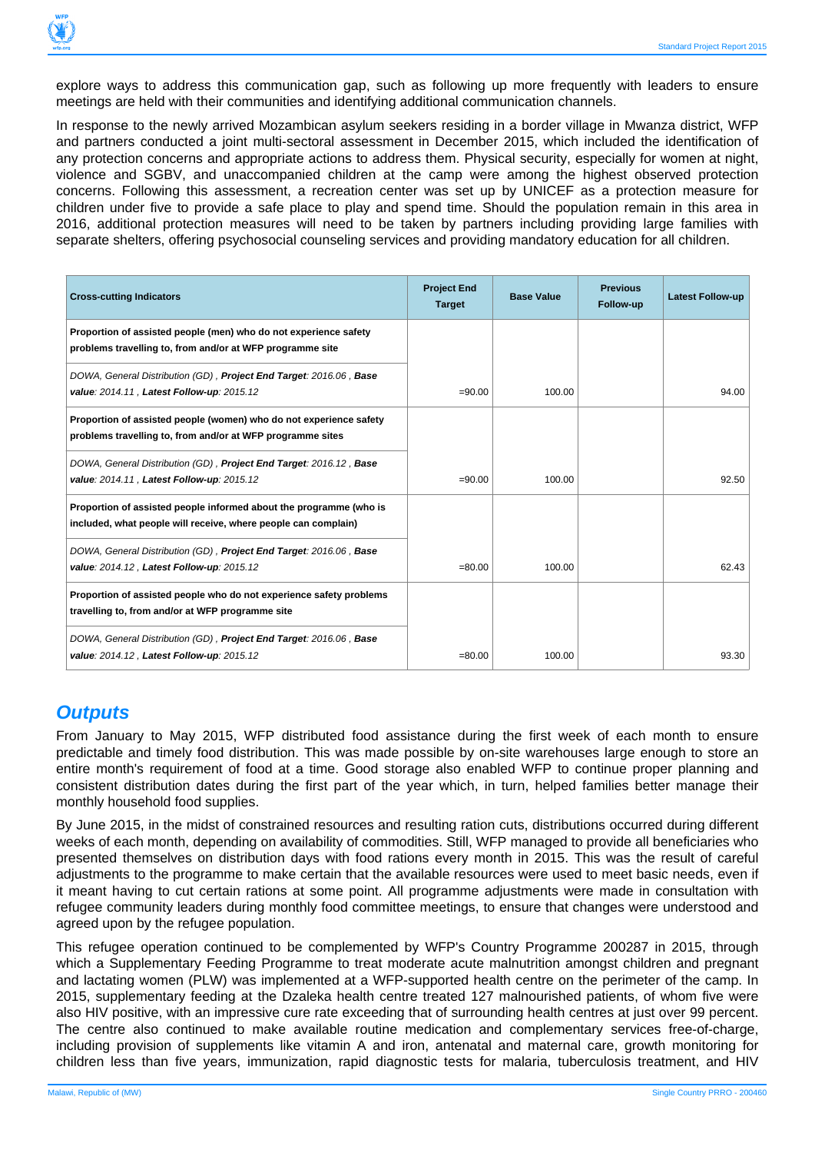

explore ways to address this communication gap, such as following up more frequently with leaders to ensure meetings are held with their communities and identifying additional communication channels.

In response to the newly arrived Mozambican asylum seekers residing in a border village in Mwanza district, WFP and partners conducted a joint multi-sectoral assessment in December 2015, which included the identification of any protection concerns and appropriate actions to address them. Physical security, especially for women at night, violence and SGBV, and unaccompanied children at the camp were among the highest observed protection concerns. Following this assessment, a recreation center was set up by UNICEF as a protection measure for children under five to provide a safe place to play and spend time. Should the population remain in this area in 2016, additional protection measures will need to be taken by partners including providing large families with separate shelters, offering psychosocial counseling services and providing mandatory education for all children.

| <b>Cross-cutting Indicators</b>                                                                                                      | <b>Project End</b><br><b>Target</b> | <b>Base Value</b> | <b>Previous</b><br>Follow-up | <b>Latest Follow-up</b> |
|--------------------------------------------------------------------------------------------------------------------------------------|-------------------------------------|-------------------|------------------------------|-------------------------|
| Proportion of assisted people (men) who do not experience safety<br>problems travelling to, from and/or at WFP programme site        |                                     |                   |                              |                         |
| DOWA, General Distribution (GD), Project End Target: 2016.06, Base<br>value: 2014.11, Latest Follow-up: 2015.12                      | $= 90.00$                           | 100.00            |                              | 94.00                   |
| Proportion of assisted people (women) who do not experience safety<br>problems travelling to, from and/or at WFP programme sites     |                                     |                   |                              |                         |
| DOWA, General Distribution (GD), Project End Target: 2016.12, Base<br>value: 2014.11, Latest Follow-up: 2015.12                      | $= 90.00$                           | 100.00            |                              | 92.50                   |
| Proportion of assisted people informed about the programme (who is<br>included, what people will receive, where people can complain) |                                     |                   |                              |                         |
| DOWA, General Distribution (GD), Project End Target: 2016.06, Base<br>value: 2014.12, Latest Follow-up: 2015.12                      | $= 80.00$                           | 100.00            |                              | 62.43                   |
| Proportion of assisted people who do not experience safety problems<br>travelling to, from and/or at WFP programme site              |                                     |                   |                              |                         |
| DOWA, General Distribution (GD), Project End Target: 2016.06, Base<br>value: 2014.12, Latest Follow-up: 2015.12                      | $= 80.00$                           | 100.00            |                              | 93.30                   |

## **Outputs**

From January to May 2015, WFP distributed food assistance during the first week of each month to ensure predictable and timely food distribution. This was made possible by on-site warehouses large enough to store an entire month's requirement of food at a time. Good storage also enabled WFP to continue proper planning and consistent distribution dates during the first part of the year which, in turn, helped families better manage their monthly household food supplies.

By June 2015, in the midst of constrained resources and resulting ration cuts, distributions occurred during different weeks of each month, depending on availability of commodities. Still, WFP managed to provide all beneficiaries who presented themselves on distribution days with food rations every month in 2015. This was the result of careful adjustments to the programme to make certain that the available resources were used to meet basic needs, even if it meant having to cut certain rations at some point. All programme adjustments were made in consultation with refugee community leaders during monthly food committee meetings, to ensure that changes were understood and agreed upon by the refugee population.

This refugee operation continued to be complemented by WFP's Country Programme 200287 in 2015, through which a Supplementary Feeding Programme to treat moderate acute malnutrition amongst children and pregnant and lactating women (PLW) was implemented at a WFP-supported health centre on the perimeter of the camp. In 2015, supplementary feeding at the Dzaleka health centre treated 127 malnourished patients, of whom five were also HIV positive, with an impressive cure rate exceeding that of surrounding health centres at just over 99 percent. The centre also continued to make available routine medication and complementary services free-of-charge, including provision of supplements like vitamin A and iron, antenatal and maternal care, growth monitoring for children less than five years, immunization, rapid diagnostic tests for malaria, tuberculosis treatment, and HIV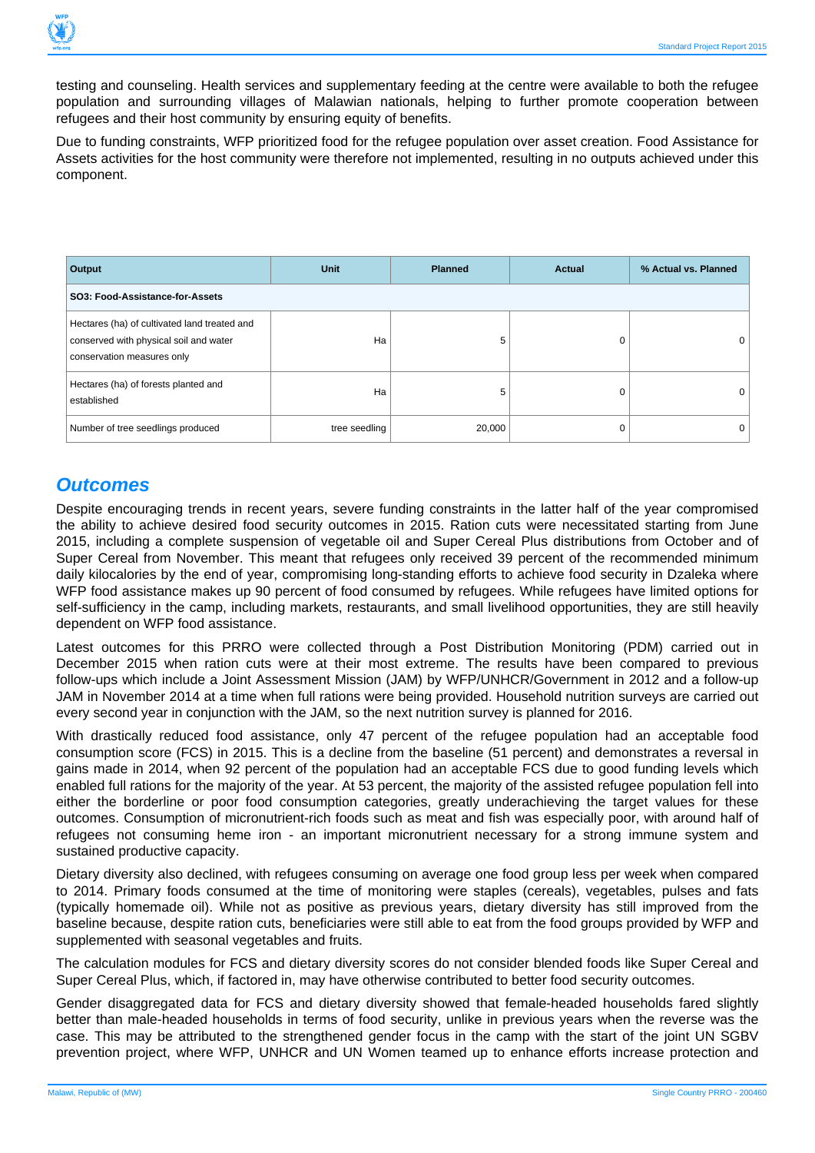

testing and counseling. Health services and supplementary feeding at the centre were available to both the refugee population and surrounding villages of Malawian nationals, helping to further promote cooperation between refugees and their host community by ensuring equity of benefits.

Due to funding constraints, WFP prioritized food for the refugee population over asset creation. Food Assistance for Assets activities for the host community were therefore not implemented, resulting in no outputs achieved under this component.

| Output                                                                                                               | <b>Unit</b>   | <b>Planned</b> | <b>Actual</b> | % Actual vs. Planned |  |  |  |  |  |
|----------------------------------------------------------------------------------------------------------------------|---------------|----------------|---------------|----------------------|--|--|--|--|--|
| SO3: Food-Assistance-for-Assets                                                                                      |               |                |               |                      |  |  |  |  |  |
| Hectares (ha) of cultivated land treated and<br>conserved with physical soil and water<br>conservation measures only | Ha            | 5              |               |                      |  |  |  |  |  |
| Hectares (ha) of forests planted and<br>established                                                                  | Ha            | 5              |               |                      |  |  |  |  |  |
| Number of tree seedlings produced                                                                                    | tree seedling | 20,000         |               |                      |  |  |  |  |  |

#### **Outcomes**

Despite encouraging trends in recent years, severe funding constraints in the latter half of the year compromised the ability to achieve desired food security outcomes in 2015. Ration cuts were necessitated starting from June 2015, including a complete suspension of vegetable oil and Super Cereal Plus distributions from October and of Super Cereal from November. This meant that refugees only received 39 percent of the recommended minimum daily kilocalories by the end of year, compromising long-standing efforts to achieve food security in Dzaleka where WFP food assistance makes up 90 percent of food consumed by refugees. While refugees have limited options for self-sufficiency in the camp, including markets, restaurants, and small livelihood opportunities, they are still heavily dependent on WFP food assistance.

Latest outcomes for this PRRO were collected through a Post Distribution Monitoring (PDM) carried out in December 2015 when ration cuts were at their most extreme. The results have been compared to previous follow-ups which include a Joint Assessment Mission (JAM) by WFP/UNHCR/Government in 2012 and a follow-up JAM in November 2014 at a time when full rations were being provided. Household nutrition surveys are carried out every second year in conjunction with the JAM, so the next nutrition survey is planned for 2016.

With drastically reduced food assistance, only 47 percent of the refugee population had an acceptable food consumption score (FCS) in 2015. This is a decline from the baseline (51 percent) and demonstrates a reversal in gains made in 2014, when 92 percent of the population had an acceptable FCS due to good funding levels which enabled full rations for the majority of the year. At 53 percent, the majority of the assisted refugee population fell into either the borderline or poor food consumption categories, greatly underachieving the target values for these outcomes. Consumption of micronutrient-rich foods such as meat and fish was especially poor, with around half of refugees not consuming heme iron - an important micronutrient necessary for a strong immune system and sustained productive capacity.

Dietary diversity also declined, with refugees consuming on average one food group less per week when compared to 2014. Primary foods consumed at the time of monitoring were staples (cereals), vegetables, pulses and fats (typically homemade oil). While not as positive as previous years, dietary diversity has still improved from the baseline because, despite ration cuts, beneficiaries were still able to eat from the food groups provided by WFP and supplemented with seasonal vegetables and fruits.

The calculation modules for FCS and dietary diversity scores do not consider blended foods like Super Cereal and Super Cereal Plus, which, if factored in, may have otherwise contributed to better food security outcomes.

Gender disaggregated data for FCS and dietary diversity showed that female-headed households fared slightly better than male-headed households in terms of food security, unlike in previous years when the reverse was the case. This may be attributed to the strengthened gender focus in the camp with the start of the joint UN SGBV prevention project, where WFP, UNHCR and UN Women teamed up to enhance efforts increase protection and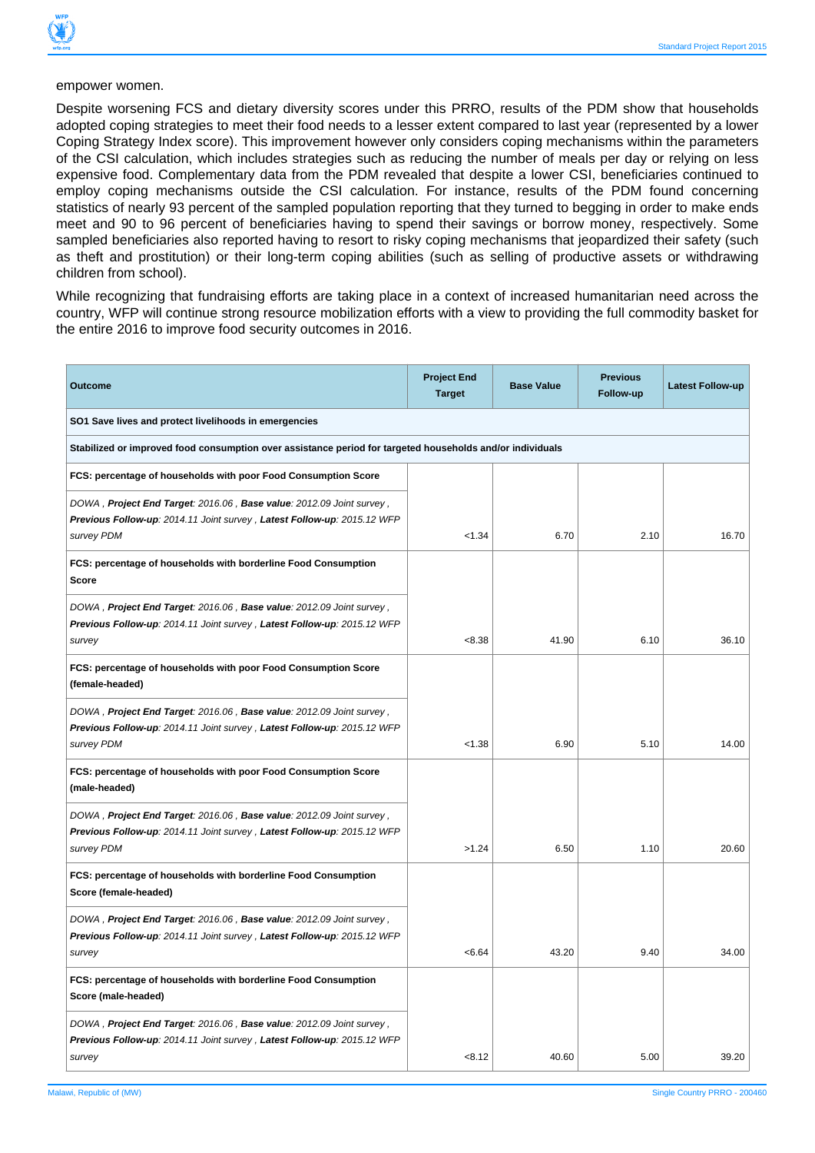

Despite worsening FCS and dietary diversity scores under this PRRO, results of the PDM show that households adopted coping strategies to meet their food needs to a lesser extent compared to last year (represented by a lower Coping Strategy Index score). This improvement however only considers coping mechanisms within the parameters of the CSI calculation, which includes strategies such as reducing the number of meals per day or relying on less expensive food. Complementary data from the PDM revealed that despite a lower CSI, beneficiaries continued to employ coping mechanisms outside the CSI calculation. For instance, results of the PDM found concerning statistics of nearly 93 percent of the sampled population reporting that they turned to begging in order to make ends meet and 90 to 96 percent of beneficiaries having to spend their savings or borrow money, respectively. Some sampled beneficiaries also reported having to resort to risky coping mechanisms that jeopardized their safety (such as theft and prostitution) or their long-term coping abilities (such as selling of productive assets or withdrawing children from school).

While recognizing that fundraising efforts are taking place in a context of increased humanitarian need across the country, WFP will continue strong resource mobilization efforts with a view to providing the full commodity basket for the entire 2016 to improve food security outcomes in 2016.

| <b>Outcome</b>                                                                                                                                                | <b>Project End</b><br><b>Target</b> | <b>Base Value</b> | <b>Previous</b><br>Follow-up | <b>Latest Follow-up</b> |
|---------------------------------------------------------------------------------------------------------------------------------------------------------------|-------------------------------------|-------------------|------------------------------|-------------------------|
| SO1 Save lives and protect livelihoods in emergencies                                                                                                         |                                     |                   |                              |                         |
| Stabilized or improved food consumption over assistance period for targeted households and/or individuals                                                     |                                     |                   |                              |                         |
| FCS: percentage of households with poor Food Consumption Score                                                                                                |                                     |                   |                              |                         |
| DOWA, Project End Target: 2016.06, Base value: 2012.09 Joint survey,<br>Previous Follow-up: 2014.11 Joint survey, Latest Follow-up: 2015.12 WFP<br>survey PDM | < 1.34                              | 6.70              | 2.10                         | 16.70                   |
| FCS: percentage of households with borderline Food Consumption<br><b>Score</b>                                                                                |                                     |                   |                              |                         |
| DOWA, Project End Target: 2016.06, Base value: 2012.09 Joint survey,<br>Previous Follow-up: 2014.11 Joint survey, Latest Follow-up: 2015.12 WFP<br>survey     | < 8.38                              | 41.90             | 6.10                         | 36.10                   |
| FCS: percentage of households with poor Food Consumption Score<br>(female-headed)                                                                             |                                     |                   |                              |                         |
| DOWA, Project End Target: 2016.06, Base value: 2012.09 Joint survey,<br>Previous Follow-up: 2014.11 Joint survey, Latest Follow-up: 2015.12 WFP<br>survey PDM | < 1.38                              | 6.90              | 5.10                         | 14.00                   |
| FCS: percentage of households with poor Food Consumption Score<br>(male-headed)                                                                               |                                     |                   |                              |                         |
| DOWA, Project End Target: 2016.06, Base value: 2012.09 Joint survey,<br>Previous Follow-up: 2014.11 Joint survey, Latest Follow-up: 2015.12 WFP<br>survey PDM | >1.24                               | 6.50              | 1.10                         | 20.60                   |
| FCS: percentage of households with borderline Food Consumption<br>Score (female-headed)                                                                       |                                     |                   |                              |                         |
| DOWA, Project End Target: 2016.06, Base value: 2012.09 Joint survey,<br>Previous Follow-up: 2014.11 Joint survey, Latest Follow-up: 2015.12 WFP<br>survey     | < 6.64                              | 43.20             | 9.40                         | 34.00                   |
| FCS: percentage of households with borderline Food Consumption<br>Score (male-headed)                                                                         |                                     |                   |                              |                         |
| DOWA, Project End Target: 2016.06, Base value: 2012.09 Joint survey,<br>Previous Follow-up: 2014.11 Joint survey, Latest Follow-up: 2015.12 WFP<br>survey     | < 8.12                              | 40.60             | 5.00                         | 39.20                   |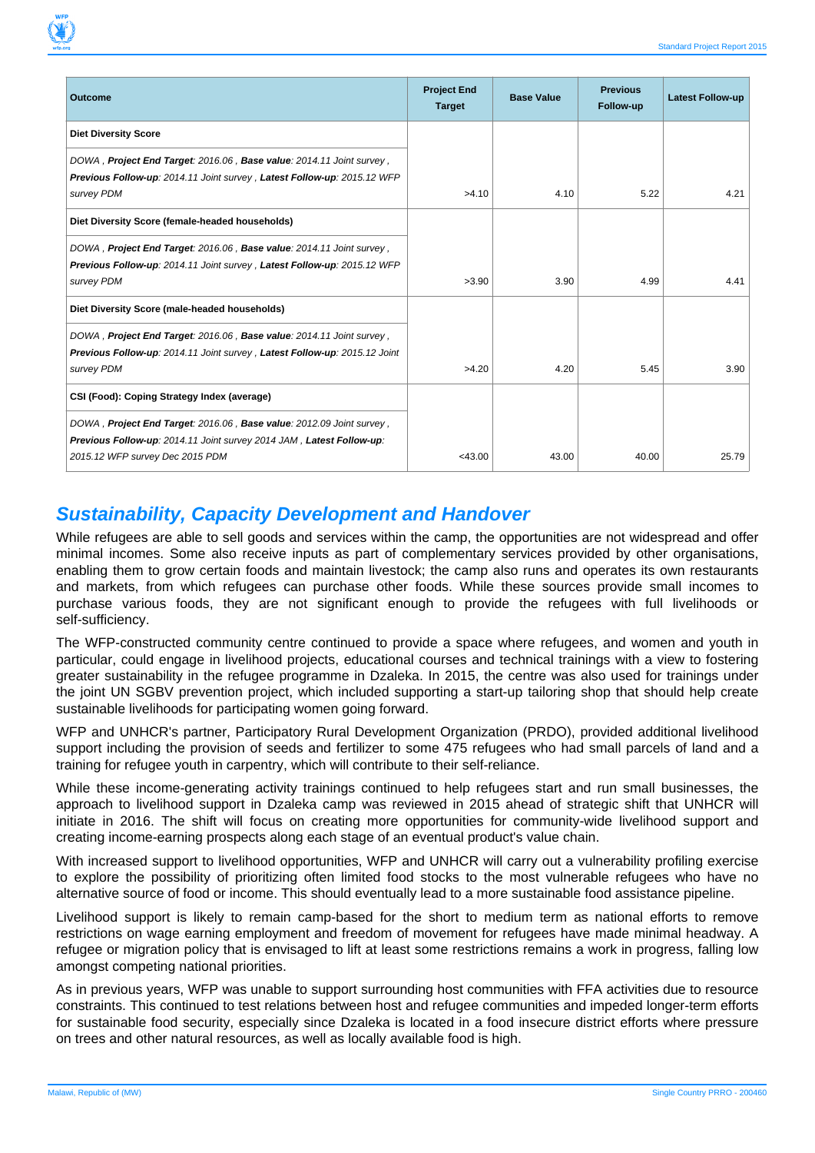| <b>Outcome</b>                                                                                                                                                                  | <b>Project End</b><br><b>Target</b> | <b>Base Value</b> | <b>Previous</b><br>Follow-up | <b>Latest Follow-up</b> |
|---------------------------------------------------------------------------------------------------------------------------------------------------------------------------------|-------------------------------------|-------------------|------------------------------|-------------------------|
| <b>Diet Diversity Score</b>                                                                                                                                                     |                                     |                   |                              |                         |
| DOWA, Project End Target: 2016.06, Base value: 2014.11 Joint survey,<br>Previous Follow-up: 2014.11 Joint survey, Latest Follow-up: 2015.12 WFP<br>survey PDM                   | >4.10                               | 4.10              | 5.22                         | 4.21                    |
| Diet Diversity Score (female-headed households)                                                                                                                                 |                                     |                   |                              |                         |
| DOWA, Project End Target: 2016.06, Base value: 2014.11 Joint survey,<br>Previous Follow-up: 2014.11 Joint survey, Latest Follow-up: 2015.12 WFP<br>survey PDM                   | >3.90                               | 3.90              | 4.99                         | 4.41                    |
| Diet Diversity Score (male-headed households)                                                                                                                                   |                                     |                   |                              |                         |
| DOWA, Project End Target: 2016.06, Base value: 2014.11 Joint survey,<br>Previous Follow-up: 2014.11 Joint survey, Latest Follow-up: 2015.12 Joint<br>survey PDM                 | >4.20                               | 4.20              | 5.45                         | 3.90                    |
| CSI (Food): Coping Strategy Index (average)                                                                                                                                     |                                     |                   |                              |                         |
| DOWA, Project End Target: 2016.06, Base value: 2012.09 Joint survey,<br>Previous Follow-up: 2014.11 Joint survey 2014 JAM, Latest Follow-up:<br>2015.12 WFP survey Dec 2015 PDM | $<$ 43.00                           | 43.00             | 40.00                        | 25.79                   |

#### **Sustainability, Capacity Development and Handover**

While refugees are able to sell goods and services within the camp, the opportunities are not widespread and offer minimal incomes. Some also receive inputs as part of complementary services provided by other organisations, enabling them to grow certain foods and maintain livestock; the camp also runs and operates its own restaurants and markets, from which refugees can purchase other foods. While these sources provide small incomes to purchase various foods, they are not significant enough to provide the refugees with full livelihoods or self-sufficiency.

The WFP-constructed community centre continued to provide a space where refugees, and women and youth in particular, could engage in livelihood projects, educational courses and technical trainings with a view to fostering greater sustainability in the refugee programme in Dzaleka. In 2015, the centre was also used for trainings under the joint UN SGBV prevention project, which included supporting a start-up tailoring shop that should help create sustainable livelihoods for participating women going forward.

WFP and UNHCR's partner, Participatory Rural Development Organization (PRDO), provided additional livelihood support including the provision of seeds and fertilizer to some 475 refugees who had small parcels of land and a training for refugee youth in carpentry, which will contribute to their self-reliance.

While these income-generating activity trainings continued to help refugees start and run small businesses, the approach to livelihood support in Dzaleka camp was reviewed in 2015 ahead of strategic shift that UNHCR will initiate in 2016. The shift will focus on creating more opportunities for community-wide livelihood support and creating income-earning prospects along each stage of an eventual product's value chain.

With increased support to livelihood opportunities, WFP and UNHCR will carry out a vulnerability profiling exercise to explore the possibility of prioritizing often limited food stocks to the most vulnerable refugees who have no alternative source of food or income. This should eventually lead to a more sustainable food assistance pipeline.

Livelihood support is likely to remain camp-based for the short to medium term as national efforts to remove restrictions on wage earning employment and freedom of movement for refugees have made minimal headway. A refugee or migration policy that is envisaged to lift at least some restrictions remains a work in progress, falling low amongst competing national priorities.

As in previous years, WFP was unable to support surrounding host communities with FFA activities due to resource constraints. This continued to test relations between host and refugee communities and impeded longer-term efforts for sustainable food security, especially since Dzaleka is located in a food insecure district efforts where pressure on trees and other natural resources, as well as locally available food is high.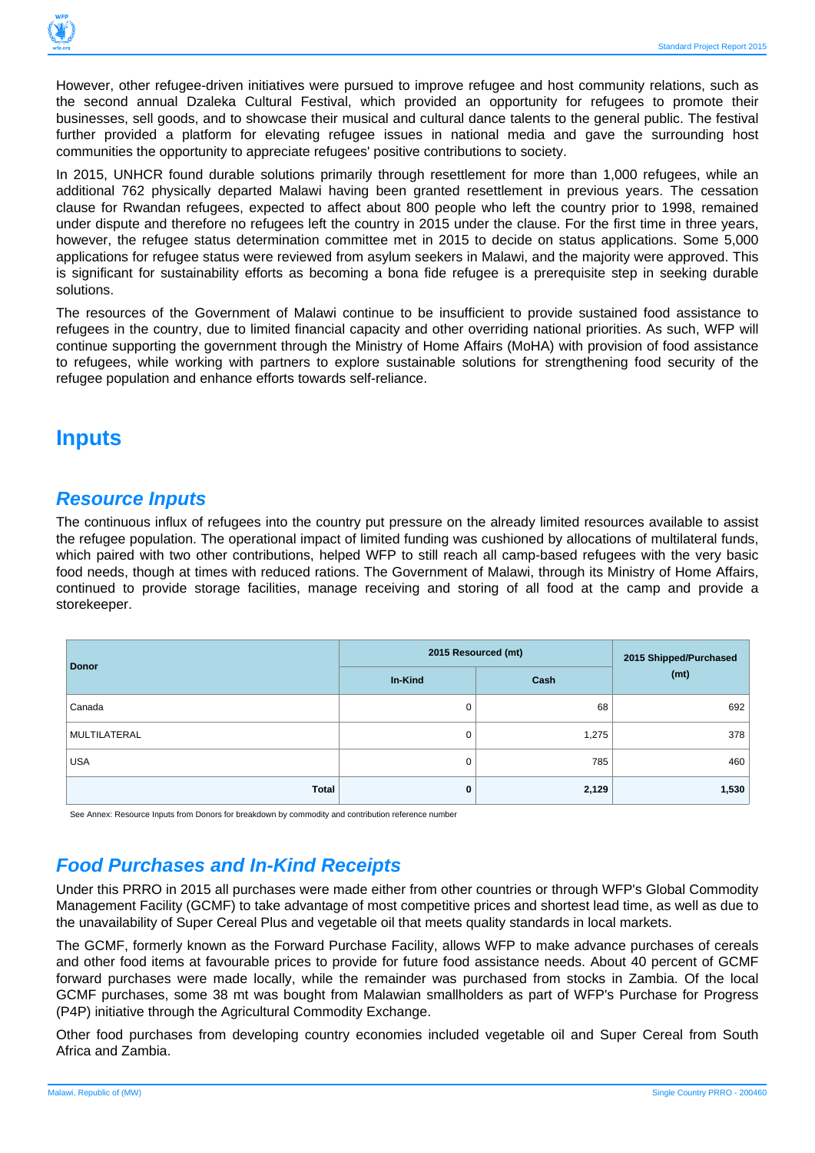

However, other refugee-driven initiatives were pursued to improve refugee and host community relations, such as the second annual Dzaleka Cultural Festival, which provided an opportunity for refugees to promote their businesses, sell goods, and to showcase their musical and cultural dance talents to the general public. The festival further provided a platform for elevating refugee issues in national media and gave the surrounding host communities the opportunity to appreciate refugees' positive contributions to society.

In 2015, UNHCR found durable solutions primarily through resettlement for more than 1,000 refugees, while an additional 762 physically departed Malawi having been granted resettlement in previous years. The cessation clause for Rwandan refugees, expected to affect about 800 people who left the country prior to 1998, remained under dispute and therefore no refugees left the country in 2015 under the clause. For the first time in three years, however, the refugee status determination committee met in 2015 to decide on status applications. Some 5,000 applications for refugee status were reviewed from asylum seekers in Malawi, and the majority were approved. This is significant for sustainability efforts as becoming a bona fide refugee is a prerequisite step in seeking durable solutions.

The resources of the Government of Malawi continue to be insufficient to provide sustained food assistance to refugees in the country, due to limited financial capacity and other overriding national priorities. As such, WFP will continue supporting the government through the Ministry of Home Affairs (MoHA) with provision of food assistance to refugees, while working with partners to explore sustainable solutions for strengthening food security of the refugee population and enhance efforts towards self-reliance.

## **Inputs**

#### **Resource Inputs**

The continuous influx of refugees into the country put pressure on the already limited resources available to assist the refugee population. The operational impact of limited funding was cushioned by allocations of multilateral funds, which paired with two other contributions, helped WFP to still reach all camp-based refugees with the very basic food needs, though at times with reduced rations. The Government of Malawi, through its Ministry of Home Affairs, continued to provide storage facilities, manage receiving and storing of all food at the camp and provide a storekeeper.

| <b>Donor</b> | 2015 Resourced (mt) | 2015 Shipped/Purchased |       |
|--------------|---------------------|------------------------|-------|
|              | In-Kind             | Cash                   | (mt)  |
| Canada       | U                   | 68                     | 692   |
| MULTILATERAL | 0                   | 1,275                  | 378   |
| <b>USA</b>   | 0                   | 785                    | 460   |
| Total        | 0                   | 2,129                  | 1,530 |

See Annex: Resource Inputs from Donors for breakdown by commodity and contribution reference number

## **Food Purchases and In-Kind Receipts**

Under this PRRO in 2015 all purchases were made either from other countries or through WFP's Global Commodity Management Facility (GCMF) to take advantage of most competitive prices and shortest lead time, as well as due to the unavailability of Super Cereal Plus and vegetable oil that meets quality standards in local markets.

The GCMF, formerly known as the Forward Purchase Facility, allows WFP to make advance purchases of cereals and other food items at favourable prices to provide for future food assistance needs. About 40 percent of GCMF forward purchases were made locally, while the remainder was purchased from stocks in Zambia. Of the local GCMF purchases, some 38 mt was bought from Malawian smallholders as part of WFP's Purchase for Progress (P4P) initiative through the Agricultural Commodity Exchange.

Other food purchases from developing country economies included vegetable oil and Super Cereal from South Africa and Zambia.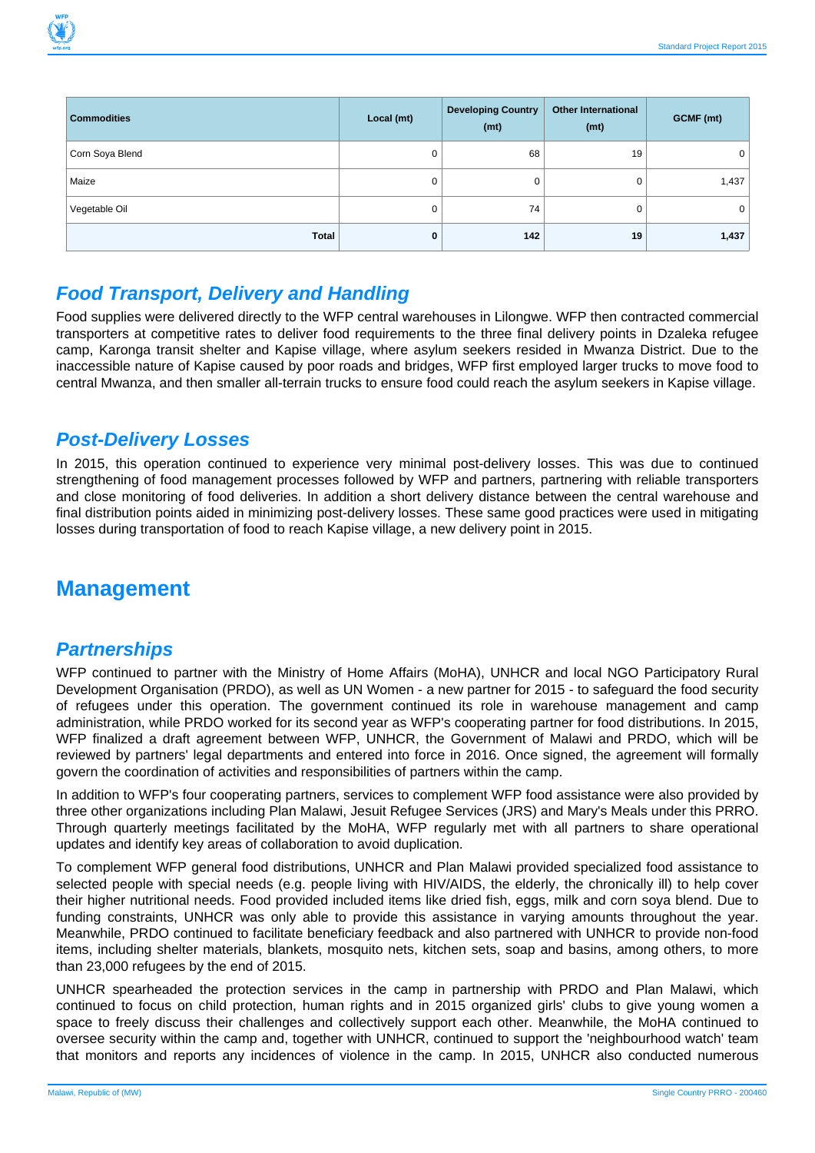

| <b>Commodities</b> | Local (mt) | <b>Developing Country</b><br>(mt) | <b>Other International</b><br>(mt) | GCMF (mt) |
|--------------------|------------|-----------------------------------|------------------------------------|-----------|
| Corn Soya Blend    | 0          | 68                                | 19                                 | 0         |
| Maize              | 0          | 0                                 | 0                                  | 1,437     |
| Vegetable Oil      | 0          | 74                                | 0                                  | 0         |
| Total              | 0          | 142                               | 19                                 | 1,437     |

#### **Food Transport, Delivery and Handling**

Food supplies were delivered directly to the WFP central warehouses in Lilongwe. WFP then contracted commercial transporters at competitive rates to deliver food requirements to the three final delivery points in Dzaleka refugee camp, Karonga transit shelter and Kapise village, where asylum seekers resided in Mwanza District. Due to the inaccessible nature of Kapise caused by poor roads and bridges, WFP first employed larger trucks to move food to central Mwanza, and then smaller all-terrain trucks to ensure food could reach the asylum seekers in Kapise village.

#### **Post-Delivery Losses**

In 2015, this operation continued to experience very minimal post-delivery losses. This was due to continued strengthening of food management processes followed by WFP and partners, partnering with reliable transporters and close monitoring of food deliveries. In addition a short delivery distance between the central warehouse and final distribution points aided in minimizing post-delivery losses. These same good practices were used in mitigating losses during transportation of food to reach Kapise village, a new delivery point in 2015.

## **Management**

#### **Partnerships**

WFP continued to partner with the Ministry of Home Affairs (MoHA), UNHCR and local NGO Participatory Rural Development Organisation (PRDO), as well as UN Women - a new partner for 2015 - to safeguard the food security of refugees under this operation. The government continued its role in warehouse management and camp administration, while PRDO worked for its second year as WFP's cooperating partner for food distributions. In 2015, WFP finalized a draft agreement between WFP, UNHCR, the Government of Malawi and PRDO, which will be reviewed by partners' legal departments and entered into force in 2016. Once signed, the agreement will formally govern the coordination of activities and responsibilities of partners within the camp.

In addition to WFP's four cooperating partners, services to complement WFP food assistance were also provided by three other organizations including Plan Malawi, Jesuit Refugee Services (JRS) and Mary's Meals under this PRRO. Through quarterly meetings facilitated by the MoHA, WFP regularly met with all partners to share operational updates and identify key areas of collaboration to avoid duplication.

To complement WFP general food distributions, UNHCR and Plan Malawi provided specialized food assistance to selected people with special needs (e.g. people living with HIV/AIDS, the elderly, the chronically ill) to help cover their higher nutritional needs. Food provided included items like dried fish, eggs, milk and corn soya blend. Due to funding constraints, UNHCR was only able to provide this assistance in varying amounts throughout the year. Meanwhile, PRDO continued to facilitate beneficiary feedback and also partnered with UNHCR to provide non-food items, including shelter materials, blankets, mosquito nets, kitchen sets, soap and basins, among others, to more than 23,000 refugees by the end of 2015.

UNHCR spearheaded the protection services in the camp in partnership with PRDO and Plan Malawi, which continued to focus on child protection, human rights and in 2015 organized girls' clubs to give young women a space to freely discuss their challenges and collectively support each other. Meanwhile, the MoHA continued to oversee security within the camp and, together with UNHCR, continued to support the 'neighbourhood watch' team that monitors and reports any incidences of violence in the camp. In 2015, UNHCR also conducted numerous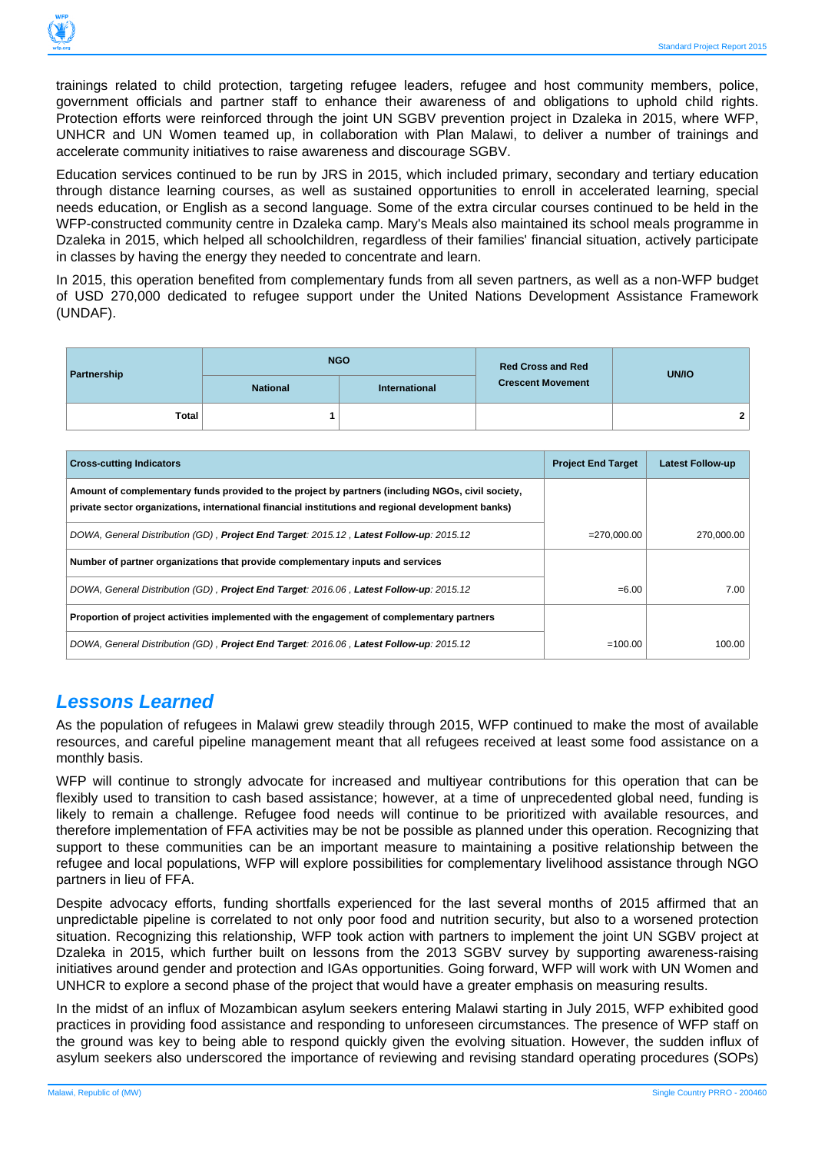

trainings related to child protection, targeting refugee leaders, refugee and host community members, police, government officials and partner staff to enhance their awareness of and obligations to uphold child rights. Protection efforts were reinforced through the joint UN SGBV prevention project in Dzaleka in 2015, where WFP, UNHCR and UN Women teamed up, in collaboration with Plan Malawi, to deliver a number of trainings and accelerate community initiatives to raise awareness and discourage SGBV.

Education services continued to be run by JRS in 2015, which included primary, secondary and tertiary education through distance learning courses, as well as sustained opportunities to enroll in accelerated learning, special needs education, or English as a second language. Some of the extra circular courses continued to be held in the WFP-constructed community centre in Dzaleka camp. Mary's Meals also maintained its school meals programme in Dzaleka in 2015, which helped all schoolchildren, regardless of their families' financial situation, actively participate in classes by having the energy they needed to concentrate and learn.

In 2015, this operation benefited from complementary funds from all seven partners, as well as a non-WFP budget of USD 270,000 dedicated to refugee support under the United Nations Development Assistance Framework (UNDAF).

| Partnership  |                 | <b>NGO</b>    | <b>Red Cross and Red</b> | <b>UN/IO</b> |  |
|--------------|-----------------|---------------|--------------------------|--------------|--|
|              | <b>National</b> | International | <b>Crescent Movement</b> |              |  |
| <b>Total</b> |                 |               |                          | $\mathbf{2}$ |  |

| <b>Cross-cutting Indicators</b>                                                                                                                                                                         | <b>Project End Target</b> | <b>Latest Follow-up</b> |
|---------------------------------------------------------------------------------------------------------------------------------------------------------------------------------------------------------|---------------------------|-------------------------|
| Amount of complementary funds provided to the project by partners (including NGOs, civil society,<br>private sector organizations, international financial institutions and regional development banks) |                           |                         |
| DOWA, General Distribution (GD), Project End Target: 2015.12, Latest Follow-up: 2015.12                                                                                                                 | $= 270.000.00$            | 270.000.00              |
| Number of partner organizations that provide complementary inputs and services                                                                                                                          |                           |                         |
| DOWA, General Distribution (GD), Project End Target: 2016.06, Latest Follow-up: 2015.12                                                                                                                 | $= 6.00$                  | 7.00                    |
| Proportion of project activities implemented with the engagement of complementary partners                                                                                                              |                           |                         |
| DOWA, General Distribution (GD), Project End Target: 2016.06, Latest Follow-up: 2015.12                                                                                                                 | $=100.00$                 | 100.00                  |

#### **Lessons Learned**

As the population of refugees in Malawi grew steadily through 2015, WFP continued to make the most of available resources, and careful pipeline management meant that all refugees received at least some food assistance on a monthly basis.

WFP will continue to strongly advocate for increased and multiyear contributions for this operation that can be flexibly used to transition to cash based assistance; however, at a time of unprecedented global need, funding is likely to remain a challenge. Refugee food needs will continue to be prioritized with available resources, and therefore implementation of FFA activities may be not be possible as planned under this operation. Recognizing that support to these communities can be an important measure to maintaining a positive relationship between the refugee and local populations, WFP will explore possibilities for complementary livelihood assistance through NGO partners in lieu of FFA.

Despite advocacy efforts, funding shortfalls experienced for the last several months of 2015 affirmed that an unpredictable pipeline is correlated to not only poor food and nutrition security, but also to a worsened protection situation. Recognizing this relationship, WFP took action with partners to implement the joint UN SGBV project at Dzaleka in 2015, which further built on lessons from the 2013 SGBV survey by supporting awareness-raising initiatives around gender and protection and IGAs opportunities. Going forward, WFP will work with UN Women and UNHCR to explore a second phase of the project that would have a greater emphasis on measuring results.

In the midst of an influx of Mozambican asylum seekers entering Malawi starting in July 2015, WFP exhibited good practices in providing food assistance and responding to unforeseen circumstances. The presence of WFP staff on the ground was key to being able to respond quickly given the evolving situation. However, the sudden influx of asylum seekers also underscored the importance of reviewing and revising standard operating procedures (SOPs)